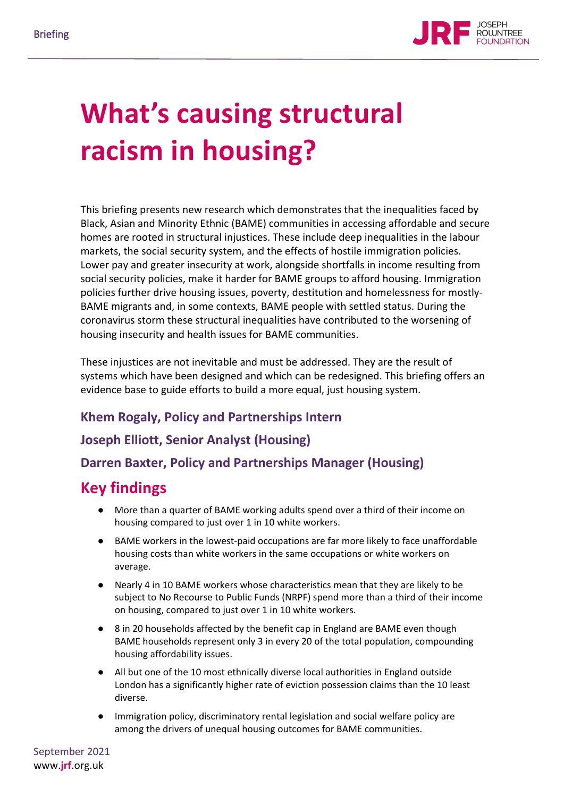

# **What's causing structural racism in housing?**

This briefing presents new research which demonstrates that the inequalities faced by Black, Asian and Minority Ethnic (BAME) communities in accessing affordable and secure homes are rooted in structural injustices. These include deep inequalities in the labour markets, the social security system, and the effects of hostile immigration policies. Lower pay and greater insecurity at work, alongside shortfalls in income resulting from social security policies, make it harder for BAME groups to afford housing. Immigration policies further drive housing issues, poverty, destitution and homelessness for mostly-BAME migrants and, in some contexts, BAME people with settled status. During the coronavirus storm these structural inequalities have contributed to the worsening of housing insecurity and health issues for BAME communities.

These injustices are not inevitable and must be addressed. They are the result of systems which have been designed and which can be redesigned. This briefing offers an evidence base to guide efforts to build a more equal, just housing system.

## **Khem Rogaly, Policy and Partnerships Intern**

## **Joseph Elliott, Senior Analyst (Housing)**

#### **Darren Baxter, Policy and Partnerships Manager (Housing)**

## **Key findings**

- More than a quarter of BAME working adults spend over a third of their income on housing compared to just over 1 in 10 white workers.
- BAME workers in the lowest-paid occupations are far more likely to face unaffordable housing costs than white workers in the same occupations or white workers on average.
- Nearly 4 in 10 BAME workers whose characteristics mean that they are likely to be subject to No Recourse to Public Funds (NRPF) spend more than a third of their income on housing, compared to just over 1 in 10 white workers.
- 8 in 20 households affected by the benefit cap in England are BAME even though BAME households represent only 3 in every 20 of the total population, compounding housing affordability issues.
- All but one of the 10 most ethnically diverse local authorities in England outside London has a significantly higher rate of eviction possession claims than the 10 least diverse.
- Immigration policy, discriminatory rental legislation and social welfare policy are among the drivers of unequal housing outcomes for BAME communities.

September 2021 www.**jrf**.org.uk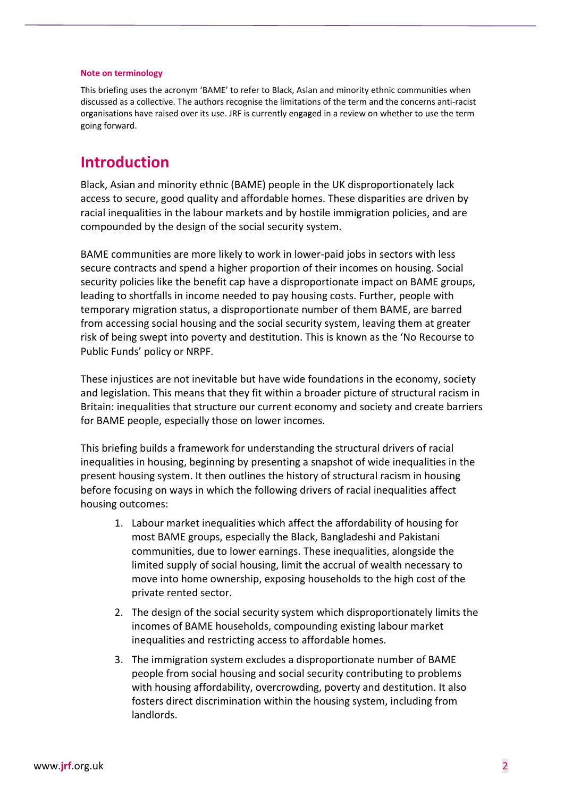#### **Note on terminology**

This briefing uses the acronym 'BAME' to refer to Black, Asian and minority ethnic communities when discussed as a collective. The authors recognise the limitations of the term and the concerns anti-racist organisations have raised over its use. JRF is currently engaged in a review on whether to use the term going forward.

## **Introduction**

Black, Asian and minority ethnic (BAME) people in the UK disproportionately lack access to secure, good quality and affordable homes. These disparities are driven by racial inequalities in the labour markets and by hostile immigration policies, and are compounded by the design of the social security system.

BAME communities are more likely to work in lower-paid jobs in sectors with less secure contracts and spend a higher proportion of their incomes on housing. Social security policies like the benefit cap have a disproportionate impact on BAME groups, leading to shortfalls in income needed to pay housing costs. Further, people with temporary migration status, a disproportionate number of them BAME, are barred from accessing social housing and the social security system, leaving them at greater risk of being swept into poverty and destitution. This is known as the 'No Recourse to Public Funds' policy or NRPF.

These injustices are not inevitable but have wide foundations in the economy, society and legislation. This means that they fit within a broader picture of structural racism in Britain: inequalities that structure our current economy and society and create barriers for BAME people, especially those on lower incomes.

This briefing builds a framework for understanding the structural drivers of racial inequalities in housing, beginning by presenting a snapshot of wide inequalities in the present housing system. It then outlines the history of structural racism in housing before focusing on ways in which the following drivers of racial inequalities affect housing outcomes:

- 1. Labour market inequalities which affect the affordability of housing for most BAME groups, especially the Black, Bangladeshi and Pakistani communities, due to lower earnings. These inequalities, alongside the limited supply of social housing, limit the accrual of wealth necessary to move into home ownership, exposing households to the high cost of the private rented sector.
- 2. The design of the social security system which disproportionately limits the incomes of BAME households, compounding existing labour market inequalities and restricting access to affordable homes.
- 3. The immigration system excludes a disproportionate number of BAME people from social housing and social security contributing to problems with housing affordability, overcrowding, poverty and destitution. It also fosters direct discrimination within the housing system, including from landlords.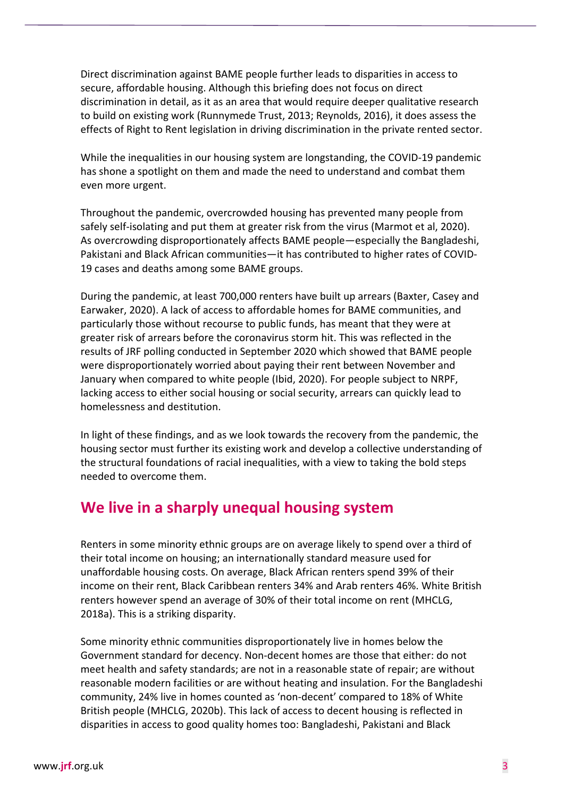Direct discrimination against BAME people further leads to disparities in access to secure, affordable housing. Although this briefing does not focus on direct discrimination in detail, as it as an area that would require deeper qualitative research to build on existing work (Runnymede Trust, 2013; Reynolds, 2016), it does assess the effects of Right to Rent legislation in driving discrimination in the private rented sector.

While the inequalities in our housing system are longstanding, the COVID-19 pandemic has shone a spotlight on them and made the need to understand and combat them even more urgent.

Throughout the pandemic, overcrowded housing has prevented many people from safely self-isolating and put them at greater risk from the virus (Marmot et al, 2020). As overcrowding disproportionately affects BAME people—especially the Bangladeshi, Pakistani and Black African communities—it has contributed to higher rates of COVID-19 cases and deaths among some BAME groups.

During the pandemic, at least 700,000 renters have built up arrears (Baxter, Casey and Earwaker, 2020). A lack of access to affordable homes for BAME communities, and particularly those without recourse to public funds, has meant that they were at greater risk of arrears before the coronavirus storm hit. This was reflected in the results of JRF polling conducted in September 2020 which showed that BAME people were disproportionately worried about paying their rent between November and January when compared to white people (Ibid, 2020). For people subject to NRPF, lacking access to either social housing or social security, arrears can quickly lead to homelessness and destitution.

In light of these findings, and as we look towards the recovery from the pandemic, the housing sector must further its existing work and develop a collective understanding of the structural foundations of racial inequalities, with a view to taking the bold steps needed to overcome them.

## **We live in a sharply unequal housing system**

Renters in some minority ethnic groups are on average likely to spend over a third of their total income on housing; an internationally standard measure used for unaffordable housing costs. On average, Black African renters spend 39% of their income on their rent, Black Caribbean renters 34% and Arab renters 46%. White British renters however spend an average of 30% of their total income on rent (MHCLG, 2018a). This is a striking disparity.

Some minority ethnic communities disproportionately live in homes below the Government standard for decency. Non-decent homes are those that either: do not meet health and safety standards; are not in a reasonable state of repair; are without reasonable modern facilities or are without heating and insulation. For the Bangladeshi community, 24% live in homes counted as 'non-decent' compared to 18% of White British people (MHCLG, 2020b). This lack of access to decent housing is reflected in disparities in access to good quality homes too: Bangladeshi, Pakistani and Black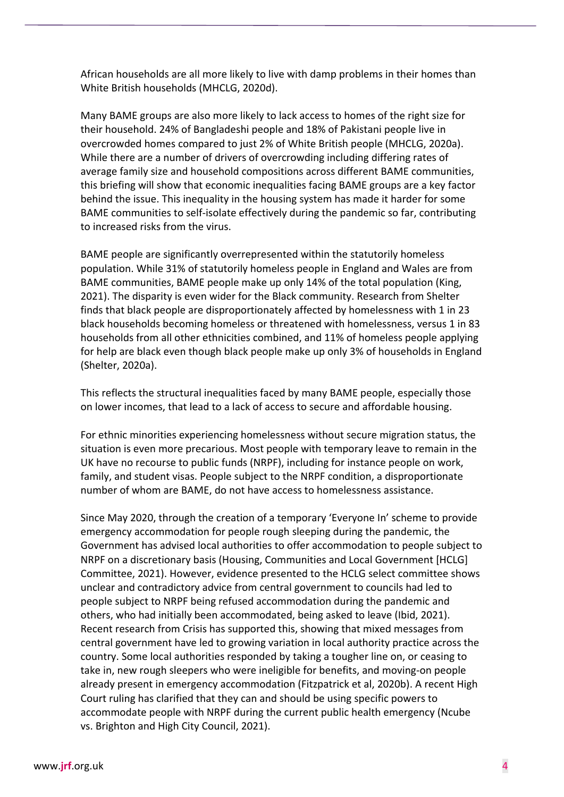African households are all more likely to live with damp problems in their homes than White British households (MHCLG, 2020d).

Many BAME groups are also more likely to lack access to homes of the right size for their household. 24% of Bangladeshi people and 18% of Pakistani people live in overcrowded homes compared to just 2% of White British people (MHCLG, 2020a). While there are a number of drivers of overcrowding including differing rates of average family size and household compositions across different BAME communities, this briefing will show that economic inequalities facing BAME groups are a key factor behind the issue. This inequality in the housing system has made it harder for some BAME communities to self-isolate effectively during the pandemic so far, contributing to increased risks from the virus.

BAME people are significantly overrepresented within the statutorily homeless population. While 31% of statutorily homeless people in England and Wales are from BAME communities, BAME people make up only 14% of the total population (King, 2021). The disparity is even wider for the Black community. Research from Shelter finds that black people are disproportionately affected by homelessness with 1 in 23 black households becoming homeless or threatened with homelessness, versus 1 in 83 households from all other ethnicities combined, and 11% of homeless people applying for help are black even though black people make up only 3% of households in England (Shelter, 2020a).

This reflects the structural inequalities faced by many BAME people, especially those on lower incomes, that lead to a lack of access to secure and affordable housing.

For ethnic minorities experiencing homelessness without secure migration status, the situation is even more precarious. Most people with temporary leave to remain in the UK have no recourse to public funds (NRPF), including for instance people on work, family, and student visas. People subject to the NRPF condition, a disproportionate number of whom are BAME, do not have access to homelessness assistance.

Since May 2020, through the creation of a temporary 'Everyone In' scheme to provide emergency accommodation for people rough sleeping during the pandemic, the Government has advised local authorities to offer accommodation to people subject to NRPF on a discretionary basis (Housing, Communities and Local Government [HCLG] Committee, 2021). However, evidence presented to the HCLG select committee shows unclear and contradictory advice from central government to councils had led to people subject to NRPF being refused accommodation during the pandemic and others, who had initially been accommodated, being asked to leave (Ibid, 2021). Recent research from Crisis has supported this, showing that mixed messages from central government have led to growing variation in local authority practice across the country. Some local authorities responded by taking a tougher line on, or ceasing to take in, new rough sleepers who were ineligible for benefits, and moving-on people already present in emergency accommodation (Fitzpatrick et al, 2020b). A recent High Court ruling has clarified that they can and should be using specific powers to accommodate people with NRPF during the current public health emergency (Ncube vs. Brighton and High City Council, 2021).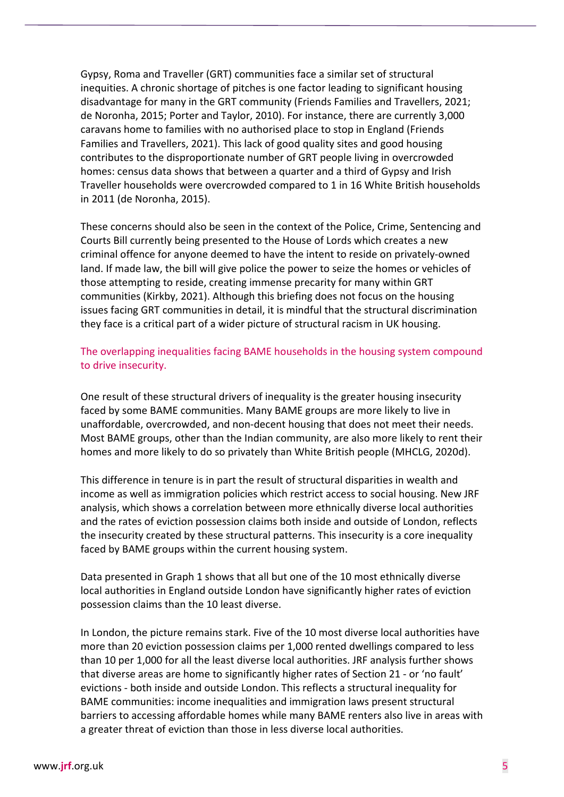Gypsy, Roma and Traveller (GRT) communities face a similar set of structural inequities. A chronic shortage of pitches is one factor leading to significant housing disadvantage for many in the GRT community (Friends Families and Travellers, 2021; de Noronha, 2015; Porter and Taylor, 2010). For instance, there are currently 3,000 caravans home to families with no authorised place to stop in England (Friends Families and Travellers, 2021). This lack of good quality sites and good housing contributes to the disproportionate number of GRT people living in overcrowded homes: census data shows that between a quarter and a third of Gypsy and Irish Traveller households were overcrowded compared to 1 in 16 White British households in 2011 (de Noronha, 2015).

These concerns should also be seen in the context of the Police, Crime, Sentencing and Courts Bill currently being presented to the House of Lords which creates a new criminal offence for anyone deemed to have the intent to reside on privately-owned land. If made law, the bill will give police the power to seize the homes or vehicles of those attempting to reside, creating immense precarity for many within GRT communities (Kirkby, 2021). Although this briefing does not focus on the housing issues facing GRT communities in detail, it is mindful that the structural discrimination they face is a critical part of a wider picture of structural racism in UK housing.

#### The overlapping inequalities facing BAME households in the housing system compound to drive insecurity.

One result of these structural drivers of inequality is the greater housing insecurity faced by some BAME communities. Many BAME groups are more likely to live in unaffordable, overcrowded, and non-decent housing that does not meet their needs. Most BAME groups, other than the Indian community, are also more likely to rent their homes and more likely to do so privately than White British people (MHCLG, 2020d).

This difference in tenure is in part the result of structural disparities in wealth and income as well as immigration policies which restrict access to social housing. New JRF analysis, which shows a correlation between more ethnically diverse local authorities and the rates of eviction possession claims both inside and outside of London, reflects the insecurity created by these structural patterns. This insecurity is a core inequality faced by BAME groups within the current housing system.

Data presented in Graph 1 shows that all but one of the 10 most ethnically diverse local authorities in England outside London have significantly higher rates of eviction possession claims than the 10 least diverse.

In London, the picture remains stark. Five of the 10 most diverse local authorities have more than 20 eviction possession claims per 1,000 rented dwellings compared to less than 10 per 1,000 for all the least diverse local authorities. JRF analysis further shows that diverse areas are home to significantly higher rates of Section 21 - or 'no fault' evictions - both inside and outside London. This reflects a structural inequality for BAME communities: income inequalities and immigration laws present structural barriers to accessing affordable homes while many BAME renters also live in areas with a greater threat of eviction than those in less diverse local authorities.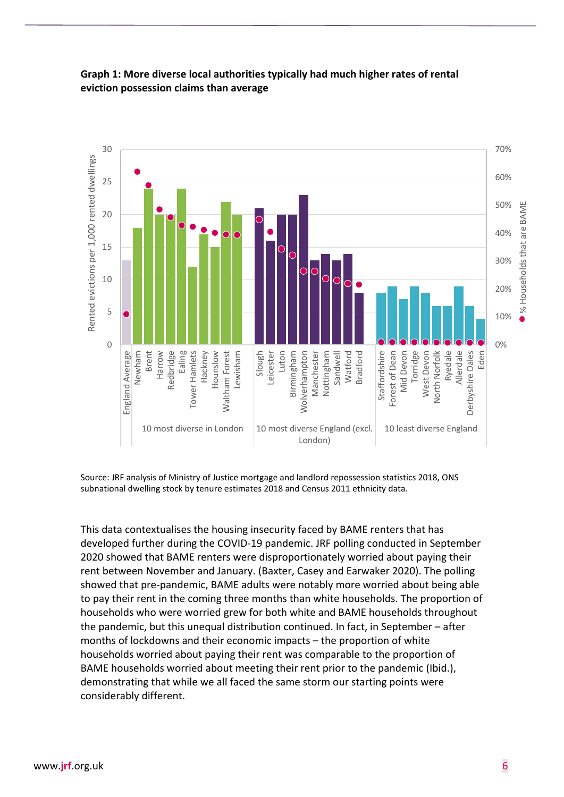

#### **Graph 1: More diverse local authorities typically had much higher rates of rental eviction possession claims than average**

Source: JRF analysis of Ministry of Justice mortgage and landlord repossession statistics 2018, ONS subnational dwelling stock by tenure estimates 2018 and Census 2011 ethnicity data.

This data contextualises the housing insecurity faced by BAME renters that has developed further during the COVID-19 pandemic. JRF polling conducted in September 2020 showed that BAME renters were disproportionately worried about paying their rent between November and January. (Baxter, Casey and Earwaker 2020). The polling showed that pre-pandemic, BAME adults were notably more worried about being able to pay their rent in the coming three months than white households. The proportion of households who were worried grew for both white and BAME households throughout the pandemic, but this unequal distribution continued. In fact, in September – after months of lockdowns and their economic impacts – the proportion of white households worried about paying their rent was comparable to the proportion of BAME households worried about meeting their rent prior to the pandemic (Ibid.), demonstrating that while we all faced the same storm our starting points were considerably different.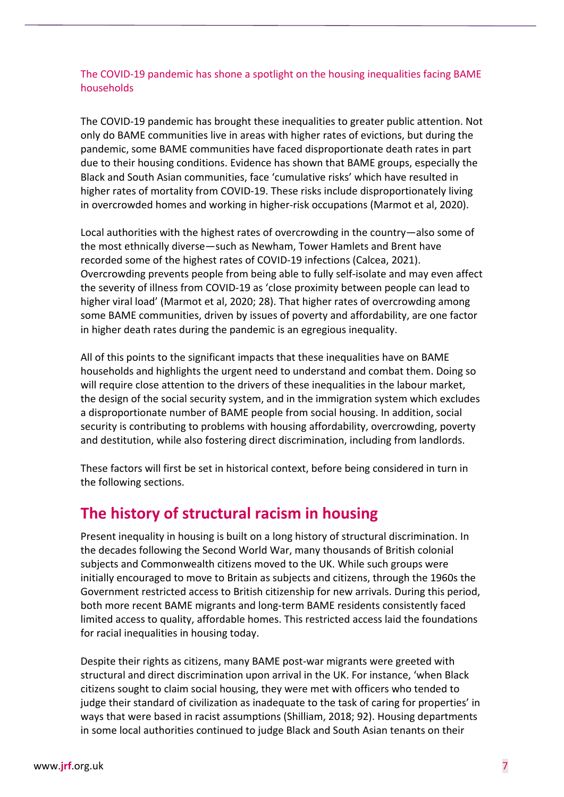#### The COVID-19 pandemic has shone a spotlight on the housing inequalities facing BAME households

The COVID-19 pandemic has brought these inequalities to greater public attention. Not only do BAME communities live in areas with higher rates of evictions, but during the pandemic, some BAME communities have faced disproportionate death rates in part due to their housing conditions. Evidence has shown that BAME groups, especially the Black and South Asian communities, face 'cumulative risks' which have resulted in higher rates of mortality from COVID-19. These risks include disproportionately living in overcrowded homes and working in higher-risk occupations (Marmot et al, 2020).

Local authorities with the highest rates of overcrowding in the country—also some of the most ethnically diverse—such as Newham, Tower Hamlets and Brent have recorded some of the highest rates of COVID-19 infections (Calcea, 2021). Overcrowding prevents people from being able to fully self-isolate and may even affect the severity of illness from COVID-19 as 'close proximity between people can lead to higher viral load' (Marmot et al, 2020; 28). That higher rates of overcrowding among some BAME communities, driven by issues of poverty and affordability, are one factor in higher death rates during the pandemic is an egregious inequality.

All of this points to the significant impacts that these inequalities have on BAME households and highlights the urgent need to understand and combat them. Doing so will require close attention to the drivers of these inequalities in the labour market, the design of the social security system, and in the immigration system which excludes a disproportionate number of BAME people from social housing. In addition, social security is contributing to problems with housing affordability, overcrowding, poverty and destitution, while also fostering direct discrimination, including from landlords.

These factors will first be set in historical context, before being considered in turn in the following sections.

## **The history of structural racism in housing**

Present inequality in housing is built on a long history of structural discrimination. In the decades following the Second World War, many thousands of British colonial subjects and Commonwealth citizens moved to the UK. While such groups were initially encouraged to move to Britain as subjects and citizens, through the 1960s the Government restricted access to British citizenship for new arrivals. During this period, both more recent BAME migrants and long-term BAME residents consistently faced limited access to quality, affordable homes. This restricted access laid the foundations for racial inequalities in housing today.

Despite their rights as citizens, many BAME post-war migrants were greeted with structural and direct discrimination upon arrival in the UK. For instance, 'when Black citizens sought to claim social housing, they were met with officers who tended to judge their standard of civilization as inadequate to the task of caring for properties' in ways that were based in racist assumptions (Shilliam, 2018; 92). Housing departments in some local authorities continued to judge Black and South Asian tenants on their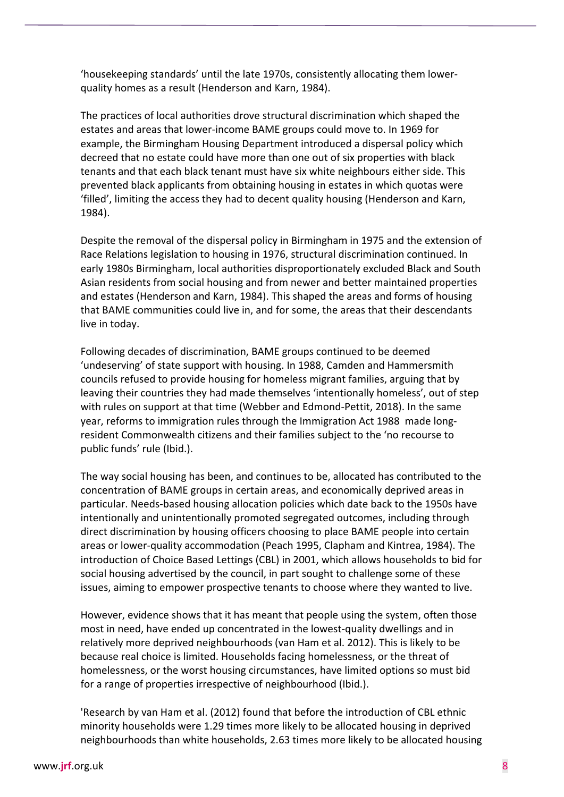'housekeeping standards' until the late 1970s, consistently allocating them lowerquality homes as a result (Henderson and Karn, 1984).

The practices of local authorities drove structural discrimination which shaped the estates and areas that lower-income BAME groups could move to. In 1969 for example, the Birmingham Housing Department introduced a dispersal policy which decreed that no estate could have more than one out of six properties with black tenants and that each black tenant must have six white neighbours either side. This prevented black applicants from obtaining housing in estates in which quotas were 'filled', limiting the access they had to decent quality housing (Henderson and Karn, 1984).

Despite the removal of the dispersal policy in Birmingham in 1975 and the extension of Race Relations legislation to housing in 1976, structural discrimination continued. In early 1980s Birmingham, local authorities disproportionately excluded Black and South Asian residents from social housing and from newer and better maintained properties and estates (Henderson and Karn, 1984). This shaped the areas and forms of housing that BAME communities could live in, and for some, the areas that their descendants live in today.

Following decades of discrimination, BAME groups continued to be deemed 'undeserving' of state support with housing. In 1988, Camden and Hammersmith councils refused to provide housing for homeless migrant families, arguing that by leaving their countries they had made themselves 'intentionally homeless', out of step with rules on support at that time (Webber and Edmond-Pettit, 2018). In the same year, reforms to immigration rules through the Immigration Act 1988 made longresident Commonwealth citizens and their families subject to the 'no recourse to public funds' rule (Ibid.).

The way social housing has been, and continues to be, allocated has contributed to the concentration of BAME groups in certain areas, and economically deprived areas in particular. Needs-based housing allocation policies which date back to the 1950s have intentionally and unintentionally promoted segregated outcomes, including through direct discrimination by housing officers choosing to place BAME people into certain areas or lower-quality accommodation (Peach 1995, Clapham and Kintrea, 1984). The introduction of Choice Based Lettings (CBL) in 2001, which allows households to bid for social housing advertised by the council, in part sought to challenge some of these issues, aiming to empower prospective tenants to choose where they wanted to live.

However, evidence shows that it has meant that people using the system, often those most in need, have ended up concentrated in the lowest-quality dwellings and in relatively more deprived neighbourhoods (van Ham et al. 2012). This is likely to be because real choice is limited. Households facing homelessness, or the threat of homelessness, or the worst housing circumstances, have limited options so must bid for a range of properties irrespective of neighbourhood (Ibid.).

'Research by van Ham et al. (2012) found that before the introduction of CBL ethnic minority households were 1.29 times more likely to be allocated housing in deprived neighbourhoods than white households, 2.63 times more likely to be allocated housing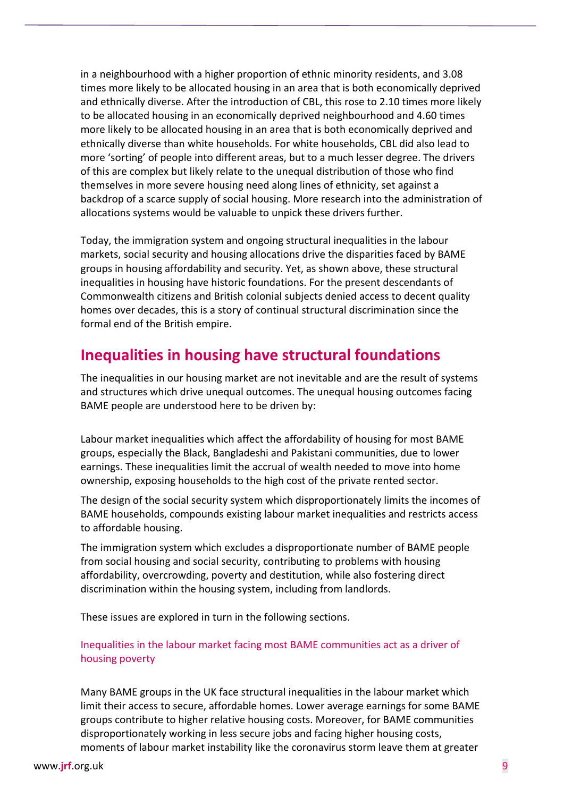in a neighbourhood with a higher proportion of ethnic minority residents, and 3.08 times more likely to be allocated housing in an area that is both economically deprived and ethnically diverse. After the introduction of CBL, this rose to 2.10 times more likely to be allocated housing in an economically deprived neighbourhood and 4.60 times more likely to be allocated housing in an area that is both economically deprived and ethnically diverse than white households. For white households, CBL did also lead to more 'sorting' of people into different areas, but to a much lesser degree. The drivers of this are complex but likely relate to the unequal distribution of those who find themselves in more severe housing need along lines of ethnicity, set against a backdrop of a scarce supply of social housing. More research into the administration of allocations systems would be valuable to unpick these drivers further.

Today, the immigration system and ongoing structural inequalities in the labour markets, social security and housing allocations drive the disparities faced by BAME groups in housing affordability and security. Yet, as shown above, these structural inequalities in housing have historic foundations. For the present descendants of Commonwealth citizens and British colonial subjects denied access to decent quality homes over decades, this is a story of continual structural discrimination since the formal end of the British empire.

## **Inequalities in housing have structural foundations**

The inequalities in our housing market are not inevitable and are the result of systems and structures which drive unequal outcomes. The unequal housing outcomes facing BAME people are understood here to be driven by:

Labour market inequalities which affect the affordability of housing for most BAME groups, especially the Black, Bangladeshi and Pakistani communities, due to lower earnings. These inequalities limit the accrual of wealth needed to move into home ownership, exposing households to the high cost of the private rented sector.

The design of the social security system which disproportionately limits the incomes of BAME households, compounds existing labour market inequalities and restricts access to affordable housing.

The immigration system which excludes a disproportionate number of BAME people from social housing and social security, contributing to problems with housing affordability, overcrowding, poverty and destitution, while also fostering direct discrimination within the housing system, including from landlords.

These issues are explored in turn in the following sections.

#### Inequalities in the labour market facing most BAME communities act as a driver of housing poverty

Many BAME groups in the UK face structural inequalities in the labour market which limit their access to secure, affordable homes. Lower average earnings for some BAME groups contribute to higher relative housing costs. Moreover, for BAME communities disproportionately working in less secure jobs and facing higher housing costs, moments of labour market instability like the coronavirus storm leave them at greater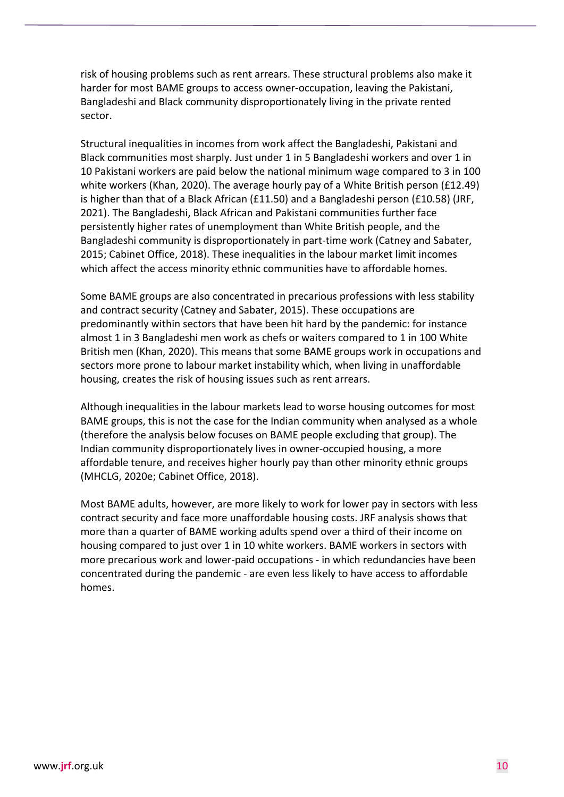risk of housing problems such as rent arrears. These structural problems also make it harder for most BAME groups to access owner-occupation, leaving the Pakistani, Bangladeshi and Black community disproportionately living in the private rented sector.

Structural inequalities in incomes from work affect the Bangladeshi, Pakistani and Black communities most sharply. Just under 1 in 5 Bangladeshi workers and over 1 in 10 Pakistani workers are paid below the national minimum wage compared to 3 in 100 white workers (Khan, 2020). The average hourly pay of a White British person (£12.49) is higher than that of a Black African (£11.50) and a Bangladeshi person (£10.58) (JRF, 2021). The Bangladeshi, Black African and Pakistani communities further face persistently higher rates of unemployment than White British people, and the Bangladeshi community is disproportionately in part-time work (Catney and Sabater, 2015; Cabinet Office, 2018). These inequalities in the labour market limit incomes which affect the access minority ethnic communities have to affordable homes.

Some BAME groups are also concentrated in precarious professions with less stability and contract security (Catney and Sabater, 2015). These occupations are predominantly within sectors that have been hit hard by the pandemic: for instance almost 1 in 3 Bangladeshi men work as chefs or waiters compared to 1 in 100 White British men (Khan, 2020). This means that some BAME groups work in occupations and sectors more prone to labour market instability which, when living in unaffordable housing, creates the risk of housing issues such as rent arrears.

Although inequalities in the labour markets lead to worse housing outcomes for most BAME groups, this is not the case for the Indian community when analysed as a whole (therefore the analysis below focuses on BAME people excluding that group). The Indian community disproportionately lives in owner-occupied housing, a more affordable tenure, and receives higher hourly pay than other minority ethnic groups (MHCLG, 2020e; Cabinet Office, 2018).

Most BAME adults, however, are more likely to work for lower pay in sectors with less contract security and face more unaffordable housing costs. JRF analysis shows that more than a quarter of BAME working adults spend over a third of their income on housing compared to just over 1 in 10 white workers. BAME workers in sectors with more precarious work and lower-paid occupations - in which redundancies have been concentrated during the pandemic - are even less likely to have access to affordable homes.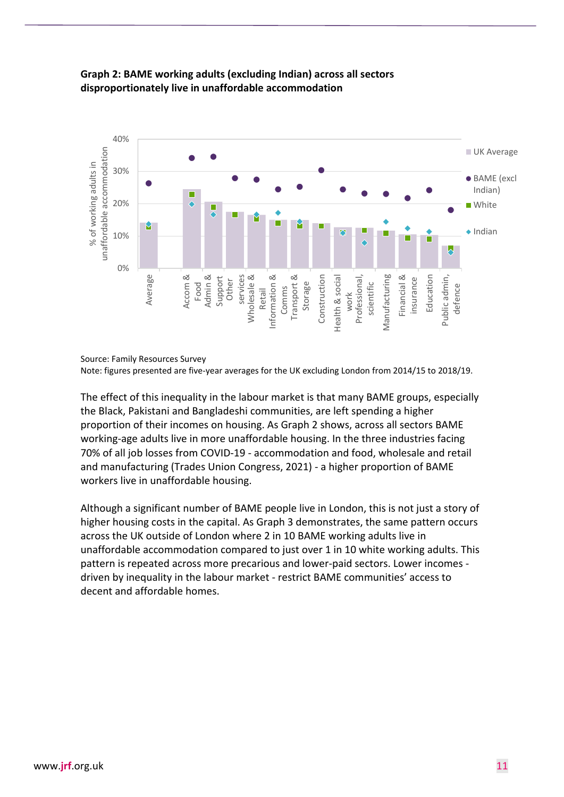

#### **Graph 2: BAME working adults (excluding Indian) across all sectors disproportionately live in unaffordable accommodation**

Source: Family Resources Survey

Note: figures presented are five-year averages for the UK excluding London from 2014/15 to 2018/19.

The effect of this inequality in the labour market is that many BAME groups, especially the Black, Pakistani and Bangladeshi communities, are left spending a higher proportion of their incomes on housing. As Graph 2 shows, across all sectors BAME working-age adults live in more unaffordable housing. In the three industries facing 70% of all job losses from COVID-19 - accommodation and food, wholesale and retail and manufacturing (Trades Union Congress, 2021) - a higher proportion of BAME workers live in unaffordable housing.

Although a significant number of BAME people live in London, this is not just a story of higher housing costs in the capital. As Graph 3 demonstrates, the same pattern occurs across the UK outside of London where 2 in 10 BAME working adults live in unaffordable accommodation compared to just over 1 in 10 white working adults. This pattern is repeated across more precarious and lower-paid sectors. Lower incomes driven by inequality in the labour market - restrict BAME communities' access to decent and affordable homes.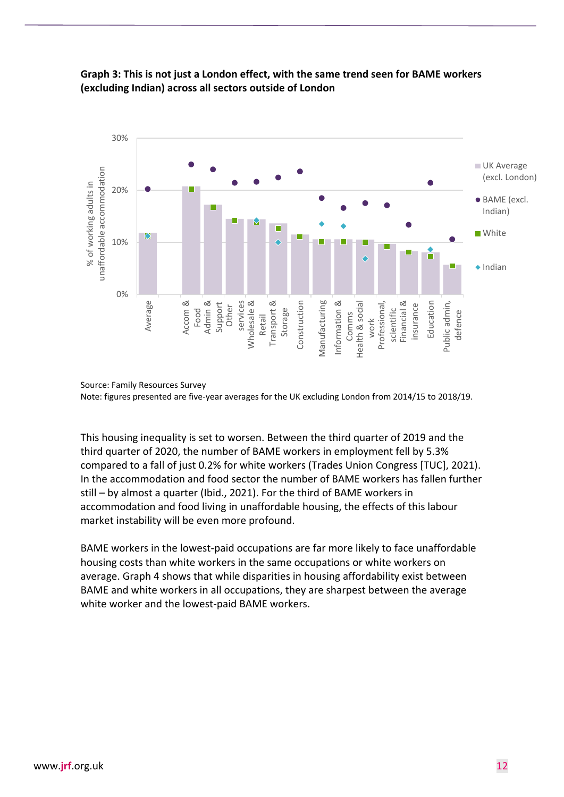

#### **Graph 3: This is not just a London effect, with the same trend seen for BAME workers (excluding Indian) across all sectors outside of London**

Source: Family Resources Survey Note: figures presented are five-year averages for the UK excluding London from 2014/15 to 2018/19.

This housing inequality is set to worsen. Between the third quarter of 2019 and the third quarter of 2020, the number of BAME workers in employment fell by 5.3% compared to a fall of just 0.2% for white workers (Trades Union Congress [TUC], 2021). In the accommodation and food sector the number of BAME workers has fallen further still – by almost a quarter (Ibid., 2021). For the third of BAME workers in accommodation and food living in unaffordable housing, the effects of this labour market instability will be even more profound.

BAME workers in the lowest-paid occupations are far more likely to face unaffordable housing costs than white workers in the same occupations or white workers on average. Graph 4 shows that while disparities in housing affordability exist between BAME and white workers in all occupations, they are sharpest between the average white worker and the lowest-paid BAME workers.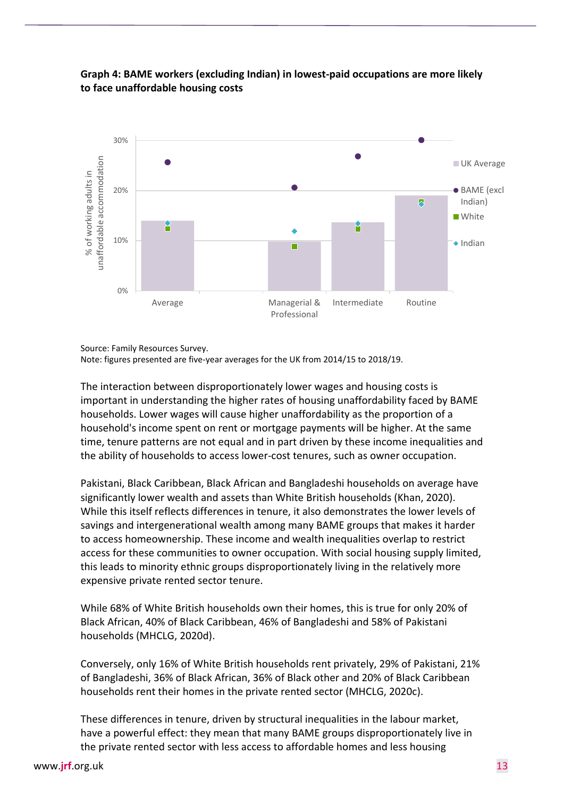

#### **Graph 4: BAME workers (excluding Indian) in lowest-paid occupations are more likely to face unaffordable housing costs**

Source: Family Resources Survey.

Note: figures presented are five-year averages for the UK from 2014/15 to 2018/19.

The interaction between disproportionately lower wages and housing costs is important in understanding the higher rates of housing unaffordability faced by BAME households. Lower wages will cause higher unaffordability as the proportion of a household's income spent on rent or mortgage payments will be higher. At the same time, tenure patterns are not equal and in part driven by these income inequalities and the ability of households to access lower-cost tenures, such as owner occupation.

Pakistani, Black Caribbean, Black African and Bangladeshi households on average have significantly lower wealth and assets than White British households (Khan, 2020). While this itself reflects differences in tenure, it also demonstrates the lower levels of savings and intergenerational wealth among many BAME groups that makes it harder to access homeownership. These income and wealth inequalities overlap to restrict access for these communities to owner occupation. With social housing supply limited, this leads to minority ethnic groups disproportionately living in the relatively more expensive private rented sector tenure.

While 68% of White British households own their homes, this is true for only 20% of Black African, 40% of Black Caribbean, 46% of Bangladeshi and 58% of Pakistani households (MHCLG, 2020d).

Conversely, only 16% of White British households rent privately, 29% of Pakistani, 21% of Bangladeshi, 36% of Black African, 36% of Black other and 20% of Black Caribbean households rent their homes in the private rented sector (MHCLG, 2020c).

These differences in tenure, driven by structural inequalities in the labour market, have a powerful effect: they mean that many BAME groups disproportionately live in the private rented sector with less access to affordable homes and less housing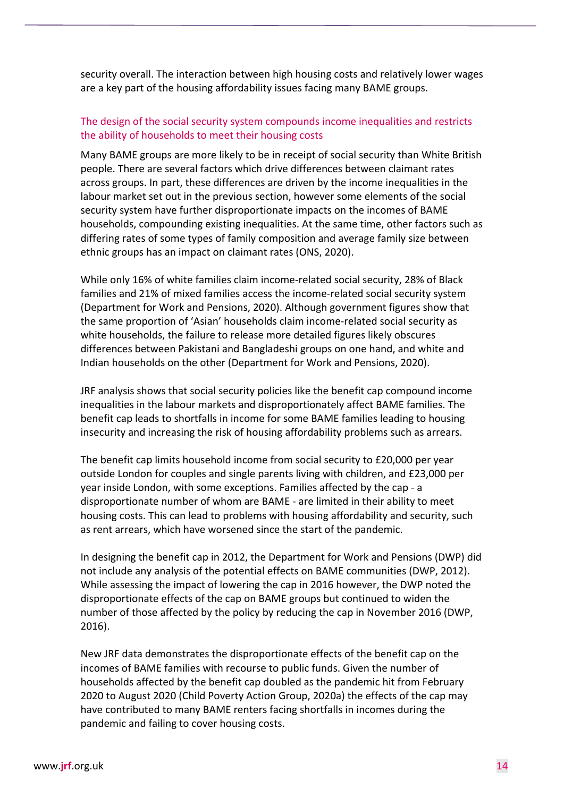security overall. The interaction between high housing costs and relatively lower wages are a key part of the housing affordability issues facing many BAME groups.

#### The design of the social security system compounds income inequalities and restricts the ability of households to meet their housing costs

Many BAME groups are more likely to be in receipt of social security than White British people. There are several factors which drive differences between claimant rates across groups. In part, these differences are driven by the income inequalities in the labour market set out in the previous section, however some elements of the social security system have further disproportionate impacts on the incomes of BAME households, compounding existing inequalities. At the same time, other factors such as differing rates of some types of family composition and average family size between ethnic groups has an impact on claimant rates (ONS, 2020).

While only 16% of white families claim income-related social security, 28% of Black families and 21% of mixed families access the income-related social security system (Department for Work and Pensions, 2020). Although government figures show that the same proportion of 'Asian' households claim income-related social security as white households, the failure to release more detailed figures likely obscures differences between Pakistani and Bangladeshi groups on one hand, and white and Indian households on the other (Department for Work and Pensions, 2020).

JRF analysis shows that social security policies like the benefit cap compound income inequalities in the labour markets and disproportionately affect BAME families. The benefit cap leads to shortfalls in income for some BAME families leading to housing insecurity and increasing the risk of housing affordability problems such as arrears.

The benefit cap limits household income from social security to £20,000 per year outside London for couples and single parents living with children, and £23,000 per year inside London, with some exceptions. Families affected by the cap - a disproportionate number of whom are BAME - are limited in their ability to meet housing costs. This can lead to problems with housing affordability and security, such as rent arrears, which have worsened since the start of the pandemic.

In designing the benefit cap in 2012, the Department for Work and Pensions (DWP) did not include any analysis of the potential effects on BAME communities (DWP, 2012). While assessing the impact of lowering the cap in 2016 however, the DWP noted the disproportionate effects of the cap on BAME groups but continued to widen the number of those affected by the policy by reducing the cap in November 2016 (DWP, 2016).

New JRF data demonstrates the disproportionate effects of the benefit cap on the incomes of BAME families with recourse to public funds. Given the number of households affected by the benefit cap doubled as the pandemic hit from February 2020 to August 2020 (Child Poverty Action Group, 2020a) the effects of the cap may have contributed to many BAME renters facing shortfalls in incomes during the pandemic and failing to cover housing costs.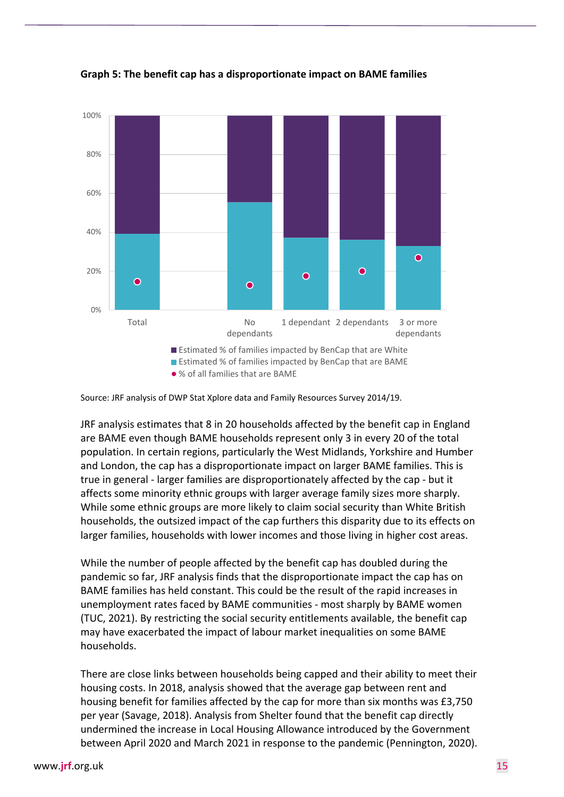

**Graph 5: The benefit cap has a disproportionate impact on BAME families**

JRF analysis estimates that 8 in 20 households affected by the benefit cap in England are BAME even though BAME households represent only 3 in every 20 of the total population. In certain regions, particularly the West Midlands, Yorkshire and Humber and London, the cap has a disproportionate impact on larger BAME families. This is true in general - larger families are disproportionately affected by the cap - but it affects some minority ethnic groups with larger average family sizes more sharply. While some ethnic groups are more likely to claim social security than White British households, the outsized impact of the cap furthers this disparity due to its effects on larger families, households with lower incomes and those living in higher cost areas.

While the number of people affected by the benefit cap has doubled during the pandemic so far, JRF analysis finds that the disproportionate impact the cap has on BAME families has held constant. This could be the result of the rapid increases in unemployment rates faced by BAME communities - most sharply by BAME women (TUC, 2021). By restricting the social security entitlements available, the benefit cap may have exacerbated the impact of labour market inequalities on some BAME households.

There are close links between households being capped and their ability to meet their housing costs. In 2018, analysis showed that the average gap between rent and housing benefit for families affected by the cap for more than six months was £3,750 per year (Savage, 2018). Analysis from Shelter found that the benefit cap directly undermined the increase in Local Housing Allowance introduced by the Government between April 2020 and March 2021 in response to the pandemic (Pennington, 2020).

Source: JRF analysis of DWP Stat Xplore data and Family Resources Survey 2014/19.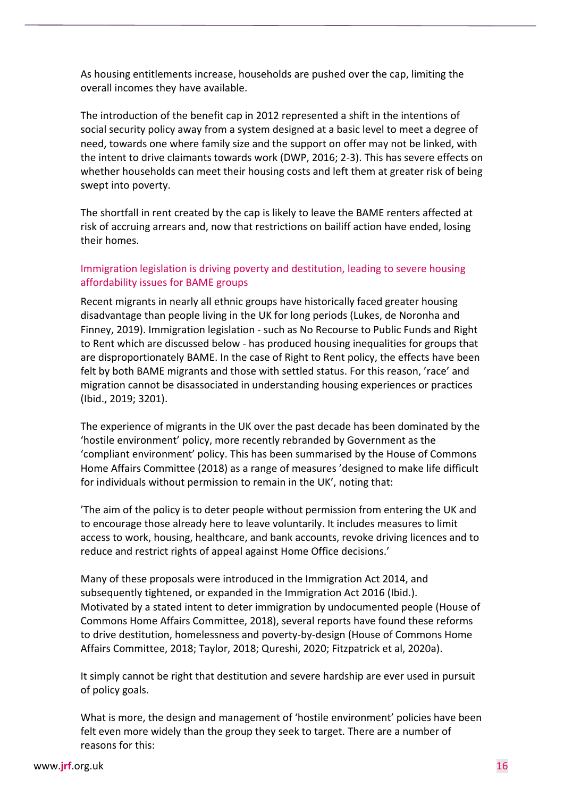As housing entitlements increase, households are pushed over the cap, limiting the overall incomes they have available.

The introduction of the benefit cap in 2012 represented a shift in the intentions of social security policy away from a system designed at a basic level to meet a degree of need, towards one where family size and the support on offer may not be linked, with the intent to drive claimants towards work (DWP, 2016; 2-3). This has severe effects on whether households can meet their housing costs and left them at greater risk of being swept into poverty.

The shortfall in rent created by the cap is likely to leave the BAME renters affected at risk of accruing arrears and, now that restrictions on bailiff action have ended, losing their homes.

#### Immigration legislation is driving poverty and destitution, leading to severe housing affordability issues for BAME groups

Recent migrants in nearly all ethnic groups have historically faced greater housing disadvantage than people living in the UK for long periods (Lukes, de Noronha and Finney, 2019). Immigration legislation - such as No Recourse to Public Funds and Right to Rent which are discussed below - has produced housing inequalities for groups that are disproportionately BAME. In the case of Right to Rent policy, the effects have been felt by both BAME migrants and those with settled status. For this reason, 'race' and migration cannot be disassociated in understanding housing experiences or practices (Ibid., 2019; 3201).

The experience of migrants in the UK over the past decade has been dominated by the 'hostile environment' policy, more recently rebranded by Government as the 'compliant environment' policy. This has been summarised by the House of Commons Home Affairs Committee (2018) as a range of measures 'designed to make life difficult for individuals without permission to remain in the UK', noting that:

'The aim of the policy is to deter people without permission from entering the UK and to encourage those already here to leave voluntarily. It includes measures to limit access to work, housing, healthcare, and bank accounts, revoke driving licences and to reduce and restrict rights of appeal against Home Office decisions.'

Many of these proposals were introduced in the Immigration Act 2014, and subsequently tightened, or expanded in the Immigration Act 2016 (Ibid.). Motivated by a stated intent to deter immigration by undocumented people (House of Commons Home Affairs Committee, 2018), several reports have found these reforms to drive destitution, homelessness and poverty-by-design (House of Commons Home Affairs Committee, 2018; Taylor, 2018; Qureshi, 2020; Fitzpatrick et al, 2020a).

It simply cannot be right that destitution and severe hardship are ever used in pursuit of policy goals.

What is more, the design and management of 'hostile environment' policies have been felt even more widely than the group they seek to target. There are a number of reasons for this: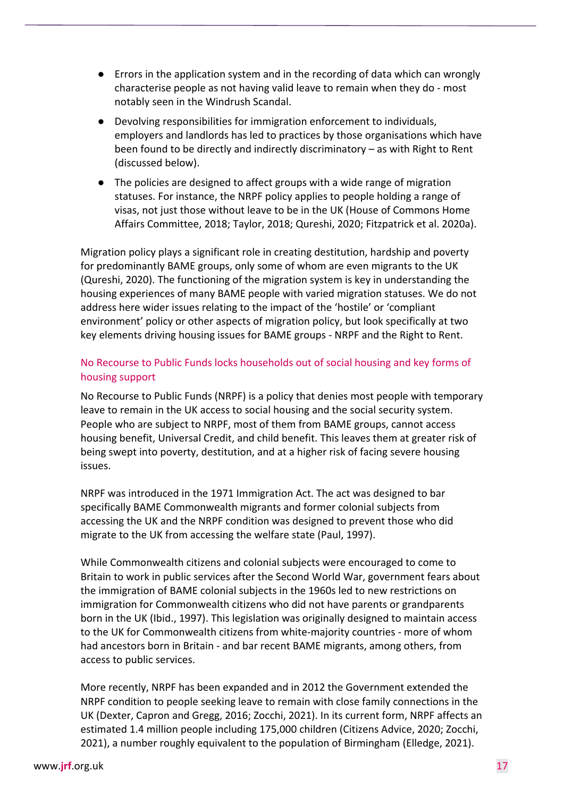- Errors in the application system and in the recording of data which can wrongly characterise people as not having valid leave to remain when they do - most notably seen in the Windrush Scandal.
- Devolving responsibilities for immigration enforcement to individuals, employers and landlords has led to practices by those organisations which have been found to be directly and indirectly discriminatory – as with Right to Rent (discussed below).
- The policies are designed to affect groups with a wide range of migration statuses. For instance, the NRPF policy applies to people holding a range of visas, not just those without leave to be in the UK (House of Commons Home Affairs Committee, 2018; Taylor, 2018; Qureshi, 2020; Fitzpatrick et al. 2020a).

Migration policy plays a significant role in creating destitution, hardship and poverty for predominantly BAME groups, only some of whom are even migrants to the UK (Qureshi, 2020). The functioning of the migration system is key in understanding the housing experiences of many BAME people with varied migration statuses. We do not address here wider issues relating to the impact of the 'hostile' or 'compliant environment' policy or other aspects of migration policy, but look specifically at two key elements driving housing issues for BAME groups - NRPF and the Right to Rent.

#### No Recourse to Public Funds locks households out of social housing and key forms of housing support

No Recourse to Public Funds (NRPF) is a policy that denies most people with temporary leave to remain in the UK access to social housing and the social security system. People who are subject to NRPF, most of them from BAME groups, cannot access housing benefit, Universal Credit, and child benefit. This leaves them at greater risk of being swept into poverty, destitution, and at a higher risk of facing severe housing issues.

NRPF was introduced in the 1971 Immigration Act. The act was designed to bar specifically BAME Commonwealth migrants and former colonial subjects from accessing the UK and the NRPF condition was designed to prevent those who did migrate to the UK from accessing the welfare state (Paul, 1997).

While Commonwealth citizens and colonial subjects were encouraged to come to Britain to work in public services after the Second World War, government fears about the immigration of BAME colonial subjects in the 1960s led to new restrictions on immigration for Commonwealth citizens who did not have parents or grandparents born in the UK (Ibid., 1997). This legislation was originally designed to maintain access to the UK for Commonwealth citizens from white-majority countries - more of whom had ancestors born in Britain - and bar recent BAME migrants, among others, from access to public services.

More recently, NRPF has been expanded and in 2012 the Government extended the NRPF condition to people seeking leave to remain with close family connections in the UK (Dexter, Capron and Gregg, 2016; Zocchi, 2021). In its current form, NRPF affects an estimated 1.4 million people including 175,000 children (Citizens Advice, 2020; Zocchi, 2021), a number roughly equivalent to the population of Birmingham (Elledge, 2021).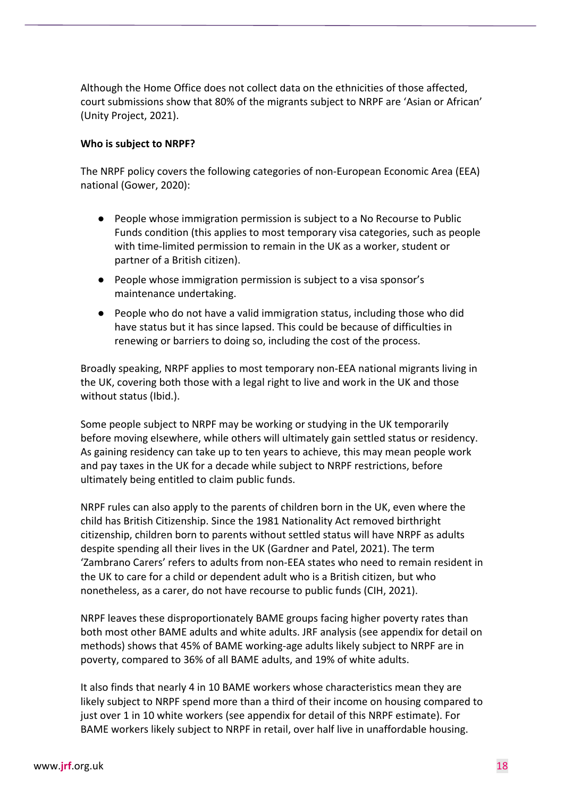Although the Home Office does not collect data on the ethnicities of those affected, court submissions show that 80% of the migrants subject to NRPF are 'Asian or African' (Unity Project, 2021).

#### **Who is subject to NRPF?**

The NRPF policy covers the following categories of non-European Economic Area (EEA) national (Gower, 2020):

- People whose immigration permission is subject to a No Recourse to Public Funds condition (this applies to most temporary visa categories, such as people with time-limited permission to remain in the UK as a worker, student or partner of a British citizen).
- People whose immigration permission is subject to a visa sponsor's maintenance undertaking.
- People who do not have a valid immigration status, including those who did have status but it has since lapsed. This could be because of difficulties in renewing or barriers to doing so, including the cost of the process.

Broadly speaking, NRPF applies to most temporary non-EEA national migrants living in the UK, covering both those with a legal right to live and work in the UK and those without status (Ibid.).

Some people subject to NRPF may be working or studying in the UK temporarily before moving elsewhere, while others will ultimately gain settled status or residency. As gaining residency can take up to ten years to achieve, this may mean people work and pay taxes in the UK for a decade while subject to NRPF restrictions, before ultimately being entitled to claim public funds.

NRPF rules can also apply to the parents of children born in the UK, even where the child has British Citizenship. Since the 1981 Nationality Act removed birthright citizenship, children born to parents without settled status will have NRPF as adults despite spending all their lives in the UK (Gardner and Patel, 2021). The term 'Zambrano Carers' refers to adults from non-EEA states who need to remain resident in the UK to care for a child or dependent adult who is a British citizen, but who nonetheless, as a carer, do not have recourse to public funds (CIH, 2021).

NRPF leaves these disproportionately BAME groups facing higher poverty rates than both most other BAME adults and white adults. JRF analysis (see appendix for detail on methods) shows that 45% of BAME working-age adults likely subject to NRPF are in poverty, compared to 36% of all BAME adults, and 19% of white adults.

It also finds that nearly 4 in 10 BAME workers whose characteristics mean they are likely subject to NRPF spend more than a third of their income on housing compared to just over 1 in 10 white workers (see appendix for detail of this NRPF estimate). For BAME workers likely subject to NRPF in retail, over half live in unaffordable housing.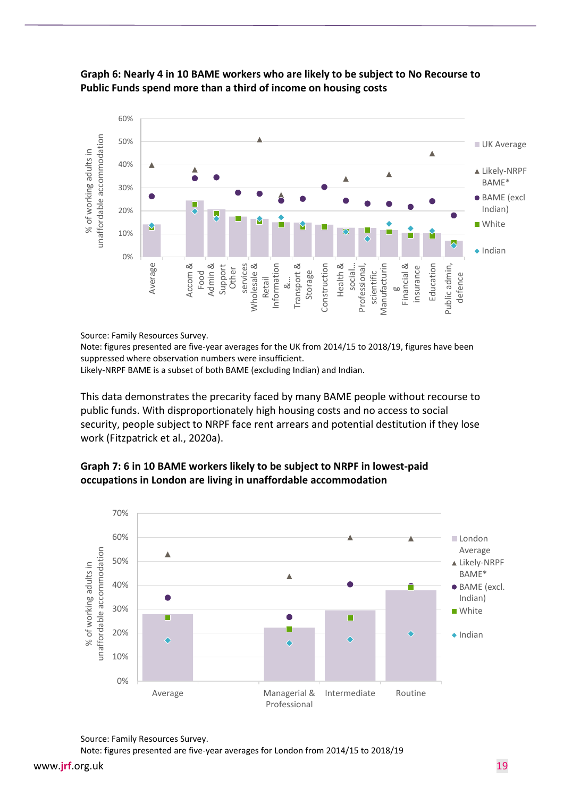

#### **Graph 6: Nearly 4 in 10 BAME workers who are likely to be subject to No Recourse to Public Funds spend more than a third of income on housing costs**

Source: Family Resources Survey.

Note: figures presented are five-year averages for the UK from 2014/15 to 2018/19, figures have been suppressed where observation numbers were insufficient.

Likely-NRPF BAME is a subset of both BAME (excluding Indian) and Indian.

This data demonstrates the precarity faced by many BAME people without recourse to public funds. With disproportionately high housing costs and no access to social security, people subject to NRPF face rent arrears and potential destitution if they lose work (Fitzpatrick et al., 2020a).



#### **Graph 7: 6 in 10 BAME workers likely to be subject to NRPF in lowest-paid occupations in London are living in unaffordable accommodation**

Source: Family Resources Survey.

Note: figures presented are five-year averages for London from 2014/15 to 2018/19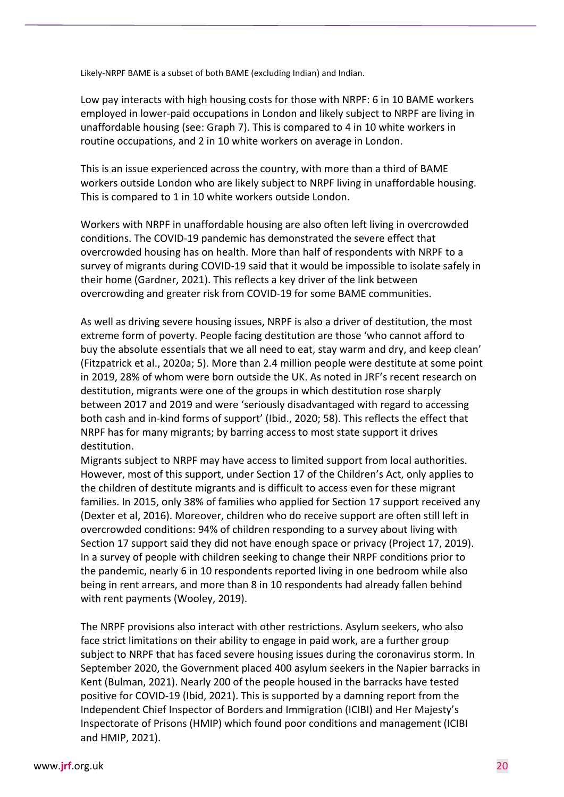Likely-NRPF BAME is a subset of both BAME (excluding Indian) and Indian.

Low pay interacts with high housing costs for those with NRPF: 6 in 10 BAME workers employed in lower-paid occupations in London and likely subject to NRPF are living in unaffordable housing (see: Graph 7). This is compared to 4 in 10 white workers in routine occupations, and 2 in 10 white workers on average in London.

This is an issue experienced across the country, with more than a third of BAME workers outside London who are likely subject to NRPF living in unaffordable housing. This is compared to 1 in 10 white workers outside London.

Workers with NRPF in unaffordable housing are also often left living in overcrowded conditions. The COVID-19 pandemic has demonstrated the severe effect that overcrowded housing has on health. More than half of respondents with NRPF to a survey of migrants during COVID-19 said that it would be impossible to isolate safely in their home (Gardner, 2021). This reflects a key driver of the link between overcrowding and greater risk from COVID-19 for some BAME communities.

As well as driving severe housing issues, NRPF is also a driver of destitution, the most extreme form of poverty. People facing destitution are those 'who cannot afford to buy the absolute essentials that we all need to eat, stay warm and dry, and keep clean' (Fitzpatrick et al., 2020a; 5). More than 2.4 million people were destitute at some point in 2019, 28% of whom were born outside the UK. As noted in JRF's recent research on destitution, migrants were one of the groups in which destitution rose sharply between 2017 and 2019 and were 'seriously disadvantaged with regard to accessing both cash and in-kind forms of support' (Ibid., 2020; 58). This reflects the effect that NRPF has for many migrants; by barring access to most state support it drives destitution.

Migrants subject to NRPF may have access to limited support from local authorities. However, most of this support, under Section 17 of the Children's Act, only applies to the children of destitute migrants and is difficult to access even for these migrant families. In 2015, only 38% of families who applied for Section 17 support received any (Dexter et al, 2016). Moreover, children who do receive support are often still left in overcrowded conditions: 94% of children responding to a survey about living with Section 17 support said they did not have enough space or privacy (Project 17, 2019). In a survey of people with children seeking to change their NRPF conditions prior to the pandemic, nearly 6 in 10 respondents reported living in one bedroom while also being in rent arrears, and more than 8 in 10 respondents had already fallen behind with rent payments (Wooley, 2019).

The NRPF provisions also interact with other restrictions. Asylum seekers, who also face strict limitations on their ability to engage in paid work, are a further group subject to NRPF that has faced severe housing issues during the coronavirus storm. In September 2020, the Government placed 400 asylum seekers in the Napier barracks in Kent (Bulman, 2021). Nearly 200 of the people housed in the barracks have tested positive for COVID-19 (Ibid, 2021). This is supported by a damning report from the Independent Chief Inspector of Borders and Immigration (ICIBI) and Her Majesty's Inspectorate of Prisons (HMIP) which found poor conditions and management (ICIBI and HMIP, 2021).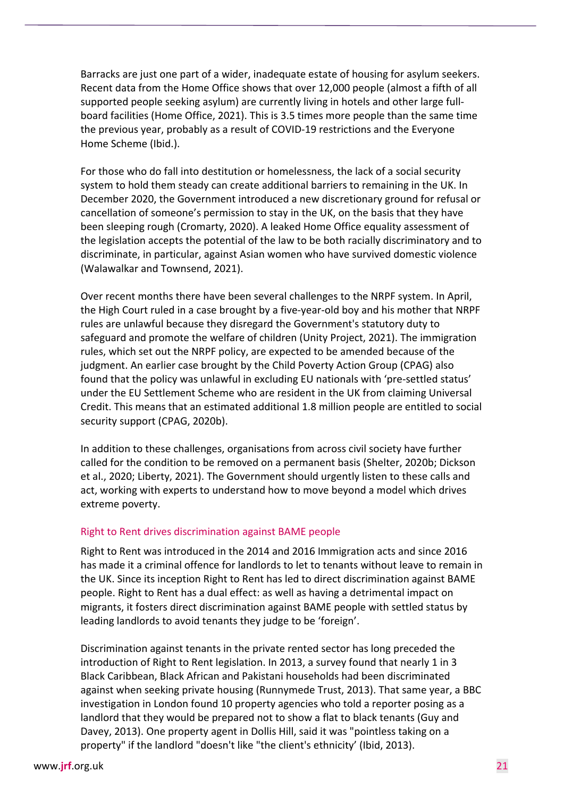Barracks are just one part of a wider, inadequate estate of housing for asylum seekers. Recent data from the Home Office shows that over 12,000 people (almost a fifth of all supported people seeking asylum) are currently living in hotels and other large fullboard facilities (Home Office, 2021). This is 3.5 times more people than the same time the previous year, probably as a result of COVID-19 restrictions and the Everyone Home Scheme (Ibid.).

For those who do fall into destitution or homelessness, the lack of a social security system to hold them steady can create additional barriers to remaining in the UK. In December 2020, the Government introduced a new discretionary ground for refusal or cancellation of someone's permission to stay in the UK, on the basis that they have been sleeping rough (Cromarty, 2020). A leaked Home Office equality assessment of the legislation accepts the potential of the law to be both racially discriminatory and to discriminate, in particular, against Asian women who have survived domestic violence (Walawalkar and Townsend, 2021).

Over recent months there have been several challenges to the NRPF system. In April, the High Court ruled in a case brought by a five-year-old boy and his mother that NRPF rules are unlawful because they disregard the Government's statutory duty to safeguard and promote the welfare of children (Unity Project, 2021). The immigration rules, which set out the NRPF policy, are expected to be amended because of the judgment. An earlier case brought by the Child Poverty Action Group (CPAG) also found that the policy was unlawful in excluding EU nationals with 'pre-settled status' under the EU Settlement Scheme who are resident in the UK from claiming Universal Credit. This means that an estimated additional 1.8 million people are entitled to social security support (CPAG, 2020b).

In addition to these challenges, organisations from across civil society have further called for the condition to be removed on a permanent basis (Shelter, 2020b; Dickson et al., 2020; Liberty, 2021). The Government should urgently listen to these calls and act, working with experts to understand how to move beyond a model which drives extreme poverty.

#### Right to Rent drives discrimination against BAME people

Right to Rent was introduced in the 2014 and 2016 Immigration acts and since 2016 has made it a criminal offence for landlords to let to tenants without leave to remain in the UK. Since its inception Right to Rent has led to direct discrimination against BAME people. Right to Rent has a dual effect: as well as having a detrimental impact on migrants, it fosters direct discrimination against BAME people with settled status by leading landlords to avoid tenants they judge to be 'foreign'.

Discrimination against tenants in the private rented sector has long preceded the introduction of Right to Rent legislation. In 2013, a survey found that nearly 1 in 3 Black Caribbean, Black African and Pakistani households had been discriminated against when seeking private housing (Runnymede Trust, 2013). That same year, a BBC investigation in London found 10 property agencies who told a reporter posing as a landlord that they would be prepared not to show a flat to black tenants (Guy and Davey, 2013). One property agent in Dollis Hill, said it was "pointless taking on a property" if the landlord "doesn't like "the client's ethnicity' (Ibid, 2013).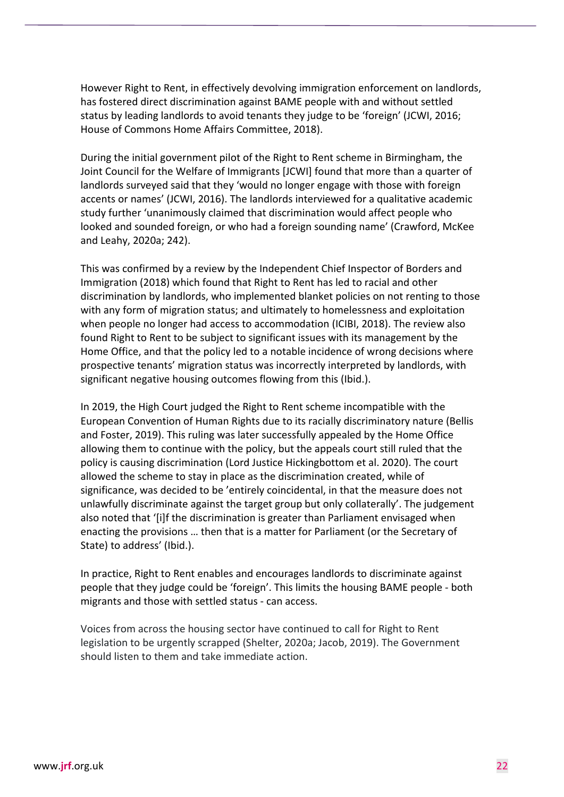However Right to Rent, in effectively devolving immigration enforcement on landlords, has fostered direct discrimination against BAME people with and without settled status by leading landlords to avoid tenants they judge to be 'foreign' (JCWI, 2016; House of Commons Home Affairs Committee, 2018).

During the initial government pilot of the Right to Rent scheme in Birmingham, the Joint Council for the Welfare of Immigrants [JCWI] found that more than a quarter of landlords surveyed said that they 'would no longer engage with those with foreign accents or names' (JCWI, 2016). The landlords interviewed for a qualitative academic study further 'unanimously claimed that discrimination would affect people who looked and sounded foreign, or who had a foreign sounding name' (Crawford, McKee and Leahy, 2020a; 242).

This was confirmed by a review by the Independent Chief Inspector of Borders and Immigration (2018) which found that Right to Rent has led to racial and other discrimination by landlords, who implemented blanket policies on not renting to those with any form of migration status; and ultimately to homelessness and exploitation when people no longer had access to accommodation (ICIBI, 2018). The review also found Right to Rent to be subject to significant issues with its management by the Home Office, and that the policy led to a notable incidence of wrong decisions where prospective tenants' migration status was incorrectly interpreted by landlords, with significant negative housing outcomes flowing from this (Ibid.).

In 2019, the High Court judged the Right to Rent scheme incompatible with the European Convention of Human Rights due to its racially discriminatory nature (Bellis and Foster, 2019). This ruling was later successfully appealed by the Home Office allowing them to continue with the policy, but the appeals court still ruled that the policy is causing discrimination (Lord Justice Hickingbottom et al. 2020). The court allowed the scheme to stay in place as the discrimination created, while of significance, was decided to be 'entirely coincidental, in that the measure does not unlawfully discriminate against the target group but only collaterally'. The judgement also noted that '[i]f the discrimination is greater than Parliament envisaged when enacting the provisions … then that is a matter for Parliament (or the Secretary of State) to address' (Ibid.).

In practice, Right to Rent enables and encourages landlords to discriminate against people that they judge could be 'foreign'. This limits the housing BAME people - both migrants and those with settled status - can access.

Voices from across the housing sector have continued to call for Right to Rent legislation to be urgently scrapped (Shelter, 2020a; Jacob, 2019). The Government should listen to them and take immediate action.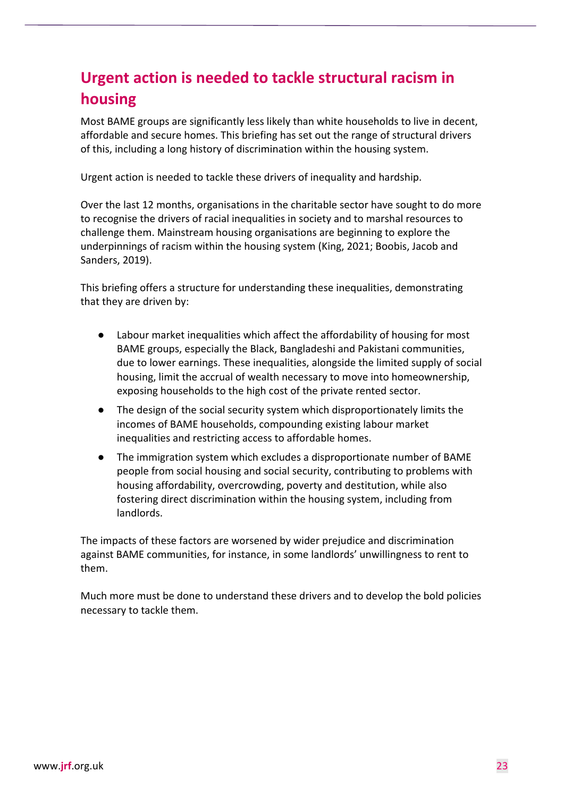# **Urgent action is needed to tackle structural racism in housing**

Most BAME groups are significantly less likely than white households to live in decent, affordable and secure homes. This briefing has set out the range of structural drivers of this, including a long history of discrimination within the housing system.

Urgent action is needed to tackle these drivers of inequality and hardship.

Over the last 12 months, organisations in the charitable sector have sought to do more to recognise the drivers of racial inequalities in society and to marshal resources to challenge them. Mainstream housing organisations are beginning to explore the underpinnings of racism within the housing system (King, 2021; Boobis, Jacob and Sanders, 2019).

This briefing offers a structure for understanding these inequalities, demonstrating that they are driven by:

- Labour market inequalities which affect the affordability of housing for most BAME groups, especially the Black, Bangladeshi and Pakistani communities, due to lower earnings. These inequalities, alongside the limited supply of social housing, limit the accrual of wealth necessary to move into homeownership, exposing households to the high cost of the private rented sector.
- The design of the social security system which disproportionately limits the incomes of BAME households, compounding existing labour market inequalities and restricting access to affordable homes.
- The immigration system which excludes a disproportionate number of BAME people from social housing and social security, contributing to problems with housing affordability, overcrowding, poverty and destitution, while also fostering direct discrimination within the housing system, including from landlords.

The impacts of these factors are worsened by wider prejudice and discrimination against BAME communities, for instance, in some landlords' unwillingness to rent to them.

Much more must be done to understand these drivers and to develop the bold policies necessary to tackle them.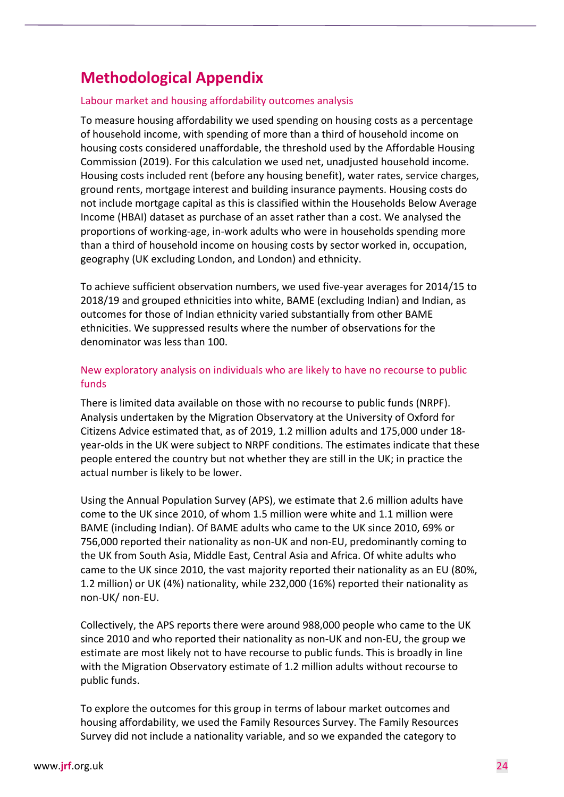## **Methodological Appendix**

#### Labour market and housing affordability outcomes analysis

To measure housing affordability we used spending on housing costs as a percentage of household income, with spending of more than a third of household income on housing costs considered unaffordable, the threshold used by the Affordable Housing Commission (2019). For this calculation we used net, unadjusted household income. Housing costs included rent (before any housing benefit), water rates, service charges, ground rents, mortgage interest and building insurance payments. Housing costs do not include mortgage capital as this is classified within the Households Below Average Income (HBAI) dataset as purchase of an asset rather than a cost. We analysed the proportions of working-age, in-work adults who were in households spending more than a third of household income on housing costs by sector worked in, occupation, geography (UK excluding London, and London) and ethnicity.

To achieve sufficient observation numbers, we used five-year averages for 2014/15 to 2018/19 and grouped ethnicities into white, BAME (excluding Indian) and Indian, as outcomes for those of Indian ethnicity varied substantially from other BAME ethnicities. We suppressed results where the number of observations for the denominator was less than 100.

#### New exploratory analysis on individuals who are likely to have no recourse to public funds

There is limited data available on those with no recourse to public funds (NRPF). Analysis undertaken by the Migration Observatory at the University of Oxford for Citizens Advice estimated that, as of 2019, 1.2 million adults and 175,000 under 18 year-olds in the UK were subject to NRPF conditions. The estimates indicate that these people entered the country but not whether they are still in the UK; in practice the actual number is likely to be lower.

Using the Annual Population Survey (APS), we estimate that 2.6 million adults have come to the UK since 2010, of whom 1.5 million were white and 1.1 million were BAME (including Indian). Of BAME adults who came to the UK since 2010, 69% or 756,000 reported their nationality as non-UK and non-EU, predominantly coming to the UK from South Asia, Middle East, Central Asia and Africa. Of white adults who came to the UK since 2010, the vast majority reported their nationality as an EU (80%, 1.2 million) or UK (4%) nationality, while 232,000 (16%) reported their nationality as non-UK/ non-EU.

Collectively, the APS reports there were around 988,000 people who came to the UK since 2010 and who reported their nationality as non-UK and non-EU, the group we estimate are most likely not to have recourse to public funds. This is broadly in line with the Migration Observatory estimate of 1.2 million adults without recourse to public funds.

To explore the outcomes for this group in terms of labour market outcomes and housing affordability, we used the Family Resources Survey. The Family Resources Survey did not include a nationality variable, and so we expanded the category to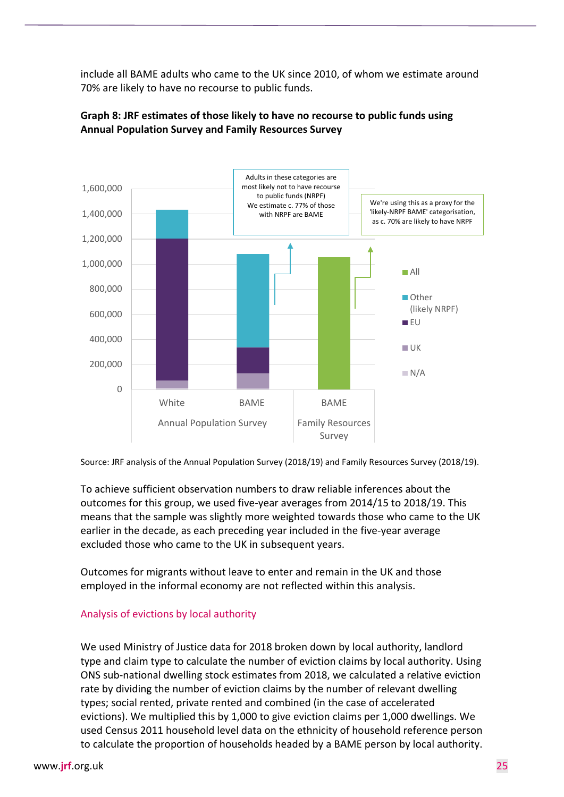include all BAME adults who came to the UK since 2010, of whom we estimate around 70% are likely to have no recourse to public funds.



#### **Graph 8: JRF estimates of those likely to have no recourse to public funds using Annual Population Survey and Family Resources Survey**

Source: JRF analysis of the Annual Population Survey (2018/19) and Family Resources Survey (2018/19).

To achieve sufficient observation numbers to draw reliable inferences about the outcomes for this group, we used five-year averages from 2014/15 to 2018/19. This means that the sample was slightly more weighted towards those who came to the UK earlier in the decade, as each preceding year included in the five-year average excluded those who came to the UK in subsequent years.

Outcomes for migrants without leave to enter and remain in the UK and those employed in the informal economy are not reflected within this analysis.

#### Analysis of evictions by local authority

We used Ministry of Justice data for 2018 broken down by local authority, landlord type and claim type to calculate the number of eviction claims by local authority. Using ONS sub-national dwelling stock estimates from 2018, we calculated a relative eviction rate by dividing the number of eviction claims by the number of relevant dwelling types; social rented, private rented and combined (in the case of accelerated evictions). We multiplied this by 1,000 to give eviction claims per 1,000 dwellings. We used Census 2011 household level data on the ethnicity of household reference person to calculate the proportion of households headed by a BAME person by local authority.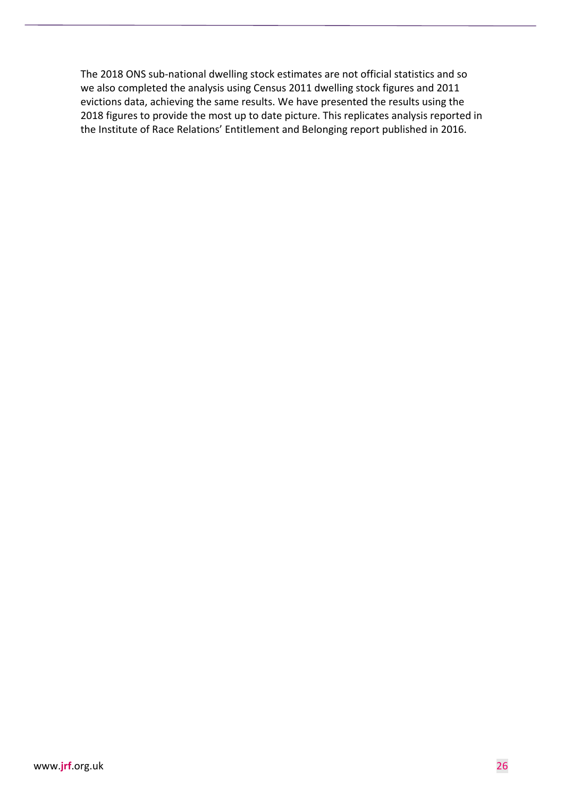The 2018 ONS sub-national dwelling stock estimates are not official statistics and so we also completed the analysis using Census 2011 dwelling stock figures and 2011 evictions data, achieving the same results. We have presented the results using the 2018 figures to provide the most up to date picture. This replicates analysis reported in the Institute of Race Relations' Entitlement and Belonging report published in 2016.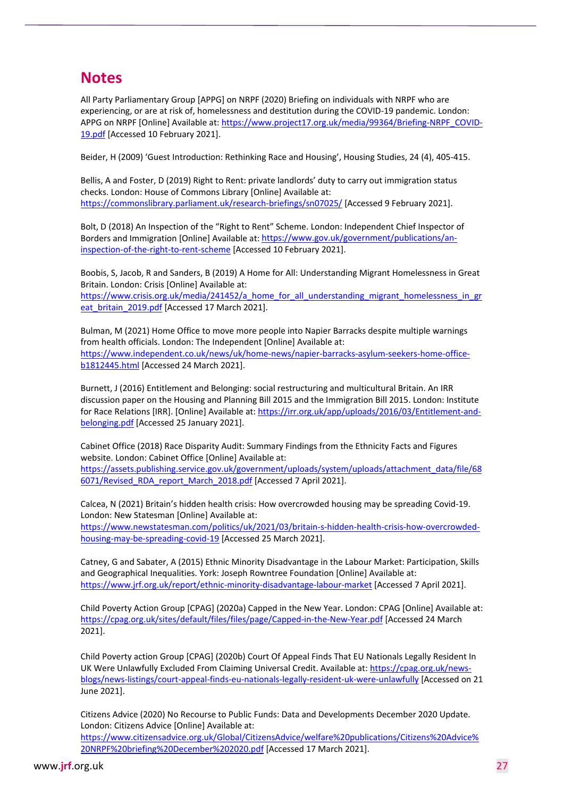## **Notes**

All Party Parliamentary Group [APPG] on NRPF (2020) Briefing on individuals with NRPF who are experiencing, or are at risk of, homelessness and destitution during the COVID-19 pandemic. London: APPG on NRPF [Online] Available at: [https://www.project17.org.uk/media/99364/Briefing-NRPF\\_COVID-](https://www.project17.org.uk/media/99364/Briefing-NRPF_COVID-19.pdf)[19.pdf](https://www.project17.org.uk/media/99364/Briefing-NRPF_COVID-19.pdf) [Accessed 10 February 2021].

Beider, H (2009) 'Guest Introduction: Rethinking Race and Housing', Housing Studies, 24 (4), 405-415.

Bellis, A and Foster, D (2019) Right to Rent: private landlords' duty to carry out immigration status checks. London: House of Commons Library [Online] Available at: <https://commonslibrary.parliament.uk/research-briefings/sn07025/> [Accessed 9 February 2021].

Bolt, D (2018) An Inspection of the "Right to Rent" Scheme. London: Independent Chief Inspector of Borders and Immigration [Online] Available at[: https://www.gov.uk/government/publications/an](https://www.gov.uk/government/publications/an-inspection-of-the-right-to-rent-scheme)[inspection-of-the-right-to-rent-scheme](https://www.gov.uk/government/publications/an-inspection-of-the-right-to-rent-scheme) [Accessed 10 February 2021].

Boobis, S, Jacob, R and Sanders, B (2019) A Home for All: Understanding Migrant Homelessness in Great Britain. London: Crisis [Online] Available at: https://www.crisis.org.uk/media/241452/a home for all understanding migrant homelessness in gr

eat britain 2019.pdf [Accessed 17 March 2021].

Bulman, M (2021) Home Office to move more people into Napier Barracks despite multiple warnings from health officials. London: The Independent [Online] Available at: [https://www.independent.co.uk/news/uk/home-news/napier-barracks-asylum-seekers-home-office](https://www.independent.co.uk/news/uk/home-news/napier-barracks-asylum-seekers-home-office-b1812445.html)[b1812445.html](https://www.independent.co.uk/news/uk/home-news/napier-barracks-asylum-seekers-home-office-b1812445.html) [Accessed 24 March 2021].

Burnett, J (2016) Entitlement and Belonging: social restructuring and multicultural Britain. An IRR discussion paper on the Housing and Planning Bill 2015 and the Immigration Bill 2015. London: Institute for Race Relations [IRR]. [Online] Available at[: https://irr.org.uk/app/uploads/2016/03/Entitlement-and](https://irr.org.uk/app/uploads/2016/03/Entitlement-and-belonging.pdf)[belonging.pdf](https://irr.org.uk/app/uploads/2016/03/Entitlement-and-belonging.pdf) [Accessed 25 January 2021].

Cabinet Office (2018) Race Disparity Audit: Summary Findings from the Ethnicity Facts and Figures website. London: Cabinet Office [Online] Available at:

[https://assets.publishing.service.gov.uk/government/uploads/system/uploads/attachment\\_data/file/68](https://assets.publishing.service.gov.uk/government/uploads/system/uploads/attachment_data/file/686071/Revised_RDA_report_March_2018.pdf) [6071/Revised\\_RDA\\_report\\_March\\_2018.pdf](https://assets.publishing.service.gov.uk/government/uploads/system/uploads/attachment_data/file/686071/Revised_RDA_report_March_2018.pdf) [Accessed 7 April 2021].

Calcea, N (2021) Britain's hidden health crisis: How overcrowded housing may be spreading Covid-19. London: New Statesman [Online] Available at:

[https://www.newstatesman.com/politics/uk/2021/03/britain-s-hidden-health-crisis-how-overcrowded](https://www.newstatesman.com/politics/uk/2021/03/britain-s-hidden-health-crisis-how-overcrowded-housing-may-be-spreading-covid-19)[housing-may-be-spreading-covid-19](https://www.newstatesman.com/politics/uk/2021/03/britain-s-hidden-health-crisis-how-overcrowded-housing-may-be-spreading-covid-19) [Accessed 25 March 2021].

Catney, G and Sabater, A (2015) Ethnic Minority Disadvantage in the Labour Market: Participation, Skills and Geographical Inequalities. York: Joseph Rowntree Foundation [Online] Available at: <https://www.jrf.org.uk/report/ethnic-minority-disadvantage-labour-market> [Accessed 7 April 2021].

Child Poverty Action Group [CPAG] (2020a) Capped in the New Year. London: CPAG [Online] Available at: <https://cpag.org.uk/sites/default/files/files/page/Capped-in-the-New-Year.pdf> [Accessed 24 March 2021].

Child Poverty action Group [CPAG] (2020b) Court Of Appeal Finds That EU Nationals Legally Resident In UK Were Unlawfully Excluded From Claiming Universal Credit. Available at[: https://cpag.org.uk/news](https://cpag.org.uk/news-blogs/news-listings/court-appeal-finds-eu-nationals-legally-resident-uk-were-unlawfully)[blogs/news-listings/court-appeal-finds-eu-nationals-legally-resident-uk-were-unlawfully](https://cpag.org.uk/news-blogs/news-listings/court-appeal-finds-eu-nationals-legally-resident-uk-were-unlawfully) [Accessed on 21 June 2021].

Citizens Advice (2020) No Recourse to Public Funds: Data and Developments December 2020 Update. London: Citizens Advice [Online] Available at: [https://www.citizensadvice.org.uk/Global/CitizensAdvice/welfare%20publications/Citizens%20Advice%](https://www.citizensadvice.org.uk/Global/CitizensAdvice/welfare%20publications/Citizens%20Advice%20NRPF%20briefing%20December%202020.pdf) [20NRPF%20briefing%20December%202020.pdf](https://www.citizensadvice.org.uk/Global/CitizensAdvice/welfare%20publications/Citizens%20Advice%20NRPF%20briefing%20December%202020.pdf) [Accessed 17 March 2021].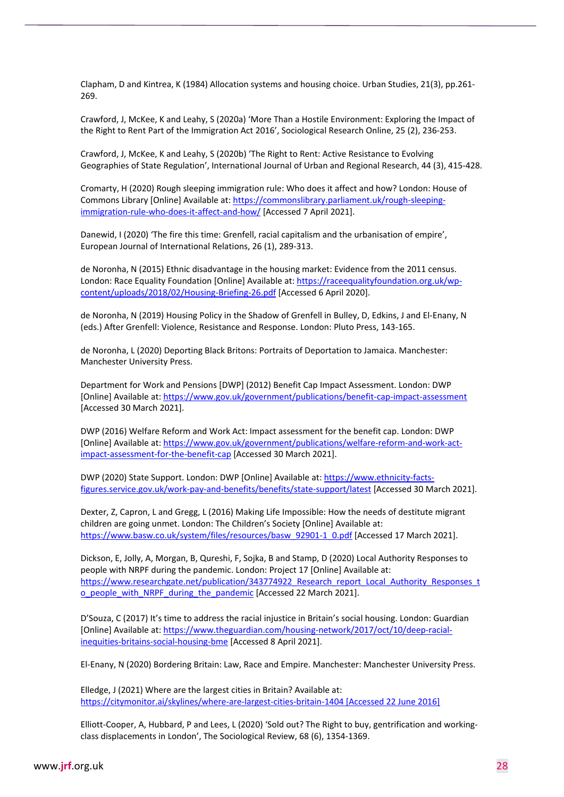Clapham, D and Kintrea, K (1984) Allocation systems and housing choice. Urban Studies, 21(3), pp.261- 269.

Crawford, J, McKee, K and Leahy, S (2020a) 'More Than a Hostile Environment: Exploring the Impact of the Right to Rent Part of the Immigration Act 2016', Sociological Research Online, 25 (2), 236-253.

Crawford, J, McKee, K and Leahy, S (2020b) 'The Right to Rent: Active Resistance to Evolving Geographies of State Regulation', International Journal of Urban and Regional Research, 44 (3), 415-428.

Cromarty, H (2020) Rough sleeping immigration rule: Who does it affect and how? London: House of Commons Library [Online] Available at: [https://commonslibrary.parliament.uk/rough-sleeping](https://commonslibrary.parliament.uk/rough-sleeping-immigration-rule-who-does-it-affect-and-how/)[immigration-rule-who-does-it-affect-and-how/](https://commonslibrary.parliament.uk/rough-sleeping-immigration-rule-who-does-it-affect-and-how/) [Accessed 7 April 2021].

Danewid, I (2020) 'The fire this time: Grenfell, racial capitalism and the urbanisation of empire', European Journal of International Relations, 26 (1), 289-313.

de Noronha, N (2015) Ethnic disadvantage in the housing market: Evidence from the 2011 census. London: Race Equality Foundation [Online] Available at[: https://raceequalityfoundation.org.uk/wp](https://raceequalityfoundation.org.uk/wp-content/uploads/2018/02/Housing-Briefing-26.pdf)[content/uploads/2018/02/Housing-Briefing-26.pdf](https://raceequalityfoundation.org.uk/wp-content/uploads/2018/02/Housing-Briefing-26.pdf) [Accessed 6 April 2020].

de Noronha, N (2019) Housing Policy in the Shadow of Grenfell in Bulley, D, Edkins, J and El-Enany, N (eds.) After Grenfell: Violence, Resistance and Response. London: Pluto Press, 143-165.

de Noronha, L (2020) Deporting Black Britons: Portraits of Deportation to Jamaica. Manchester: Manchester University Press.

Department for Work and Pensions [DWP] (2012) Benefit Cap Impact Assessment. London: DWP [Online] Available at[: https://www.gov.uk/government/publications/benefit-cap-impact-assessment](https://www.gov.uk/government/publications/benefit-cap-impact-assessment) [Accessed 30 March 2021].

DWP (2016) Welfare Reform and Work Act: Impact assessment for the benefit cap. London: DWP [Online] Available at[: https://www.gov.uk/government/publications/welfare-reform-and-work-act](https://www.gov.uk/government/publications/welfare-reform-and-work-act-impact-assessment-for-the-benefit-cap)[impact-assessment-for-the-benefit-cap](https://www.gov.uk/government/publications/welfare-reform-and-work-act-impact-assessment-for-the-benefit-cap) [Accessed 30 March 2021].

DWP (2020) State Support. London: DWP [Online] Available at: [https://www.ethnicity-facts](https://www.ethnicity-facts-figures.service.gov.uk/work-pay-and-benefits/benefits/state-support/latest)[figures.service.gov.uk/work-pay-and-benefits/benefits/state-support/latest](https://www.ethnicity-facts-figures.service.gov.uk/work-pay-and-benefits/benefits/state-support/latest) [Accessed 30 March 2021].

Dexter, Z, Capron, L and Gregg, L (2016) Making Life Impossible: How the needs of destitute migrant children are going unmet. London: The Children's Society [Online] Available at: [https://www.basw.co.uk/system/files/resources/basw\\_92901-1\\_0.pdf](https://www.basw.co.uk/system/files/resources/basw_92901-1_0.pdf) [Accessed 17 March 2021].

Dickson, E, Jolly, A, Morgan, B, Qureshi, F, Sojka, B and Stamp, D (2020) Local Authority Responses to people with NRPF during the pandemic. London: Project 17 [Online] Available at: [https://www.researchgate.net/publication/343774922\\_Research\\_report\\_Local\\_Authority\\_Responses\\_t](https://www.researchgate.net/publication/343774922_Research_report_Local_Authority_Responses_to_people_with_NRPF_during_the_pandemic) [o\\_people\\_with\\_NRPF\\_during\\_the\\_pandemic](https://www.researchgate.net/publication/343774922_Research_report_Local_Authority_Responses_to_people_with_NRPF_during_the_pandemic) [Accessed 22 March 2021].

D'Souza, C (2017) It's time to address the racial injustice in Britain's social housing. London: Guardian [Online] Available at[: https://www.theguardian.com/housing-network/2017/oct/10/deep-racial](https://www.theguardian.com/housing-network/2017/oct/10/deep-racial-inequities-britains-social-housing-bme)[inequities-britains-social-housing-bme](https://www.theguardian.com/housing-network/2017/oct/10/deep-racial-inequities-britains-social-housing-bme) [Accessed 8 April 2021].

El-Enany, N (2020) Bordering Britain: Law, Race and Empire. Manchester: Manchester University Press.

Elledge, J (2021) Where are the largest cities in Britain? Available at: <https://citymonitor.ai/skylines/where-are-largest-cities-britain-1404> [Accessed 22 June 2016]

Elliott-Cooper, A, Hubbard, P and Lees, L (2020) 'Sold out? The Right to buy, gentrification and workingclass displacements in London', The Sociological Review, 68 (6), 1354-1369.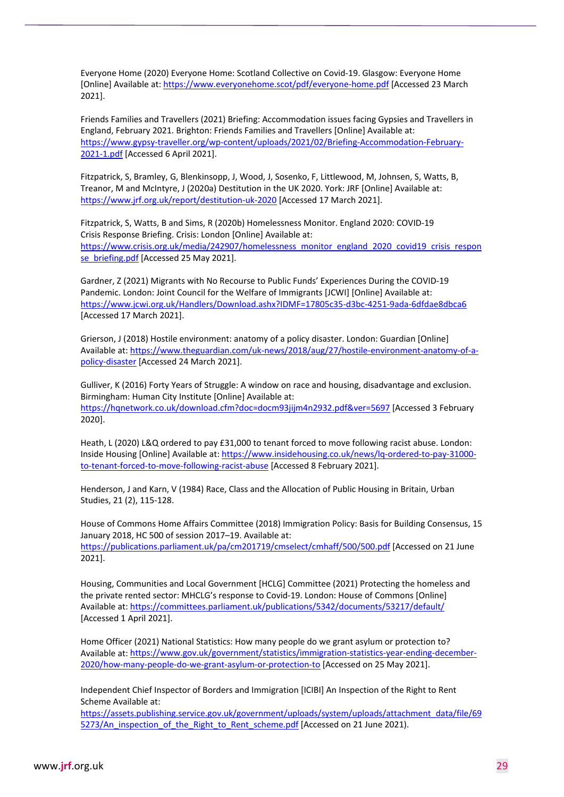Everyone Home (2020) Everyone Home: Scotland Collective on Covid-19. Glasgow: Everyone Home [Online] Available at[: https://www.everyonehome.scot/pdf/everyone-home.pdf](https://www.everyonehome.scot/pdf/everyone-home.pdf) [Accessed 23 March 2021].

Friends Families and Travellers (2021) Briefing: Accommodation issues facing Gypsies and Travellers in England, February 2021. Brighton: Friends Families and Travellers [Online] Available at: [https://www.gypsy-traveller.org/wp-content/uploads/2021/02/Briefing-Accommodation-February-](https://www.gypsy-traveller.org/wp-content/uploads/2021/02/Briefing-Accommodation-February-2021-1.pdf)[2021-1.pdf](https://www.gypsy-traveller.org/wp-content/uploads/2021/02/Briefing-Accommodation-February-2021-1.pdf) [Accessed 6 April 2021].

Fitzpatrick, S, Bramley, G, Blenkinsopp, J, Wood, J, Sosenko, F, Littlewood, M, Johnsen, S, Watts, B, Treanor, M and McIntyre, J (2020a) Destitution in the UK 2020. York: JRF [Online] Available at: <https://www.jrf.org.uk/report/destitution-uk-2020> [Accessed 17 March 2021].

Fitzpatrick, S, Watts, B and Sims, R (2020b) Homelessness Monitor. England 2020: COVID-19 Crisis Response Briefing. Crisis: London [Online] Available at: [https://www.crisis.org.uk/media/242907/homelessness\\_monitor\\_england\\_2020\\_covid19\\_crisis\\_respon](https://www.crisis.org.uk/media/242907/homelessness_monitor_england_2020_covid19_crisis_response_briefing.pdf) [se\\_briefing.pdf](https://www.crisis.org.uk/media/242907/homelessness_monitor_england_2020_covid19_crisis_response_briefing.pdf) [Accessed 25 May 2021].

Gardner, Z (2021) Migrants with No Recourse to Public Funds' Experiences During the COVID-19 Pandemic. London: Joint Council for the Welfare of Immigrants [JCWI] [Online] Available at: <https://www.jcwi.org.uk/Handlers/Download.ashx?IDMF=17805c35-d3bc-4251-9ada-6dfdae8dbca6> [Accessed 17 March 2021].

Grierson, J (2018) Hostile environment: anatomy of a policy disaster. London: Guardian [Online] Available at[: https://www.theguardian.com/uk-news/2018/aug/27/hostile-environment-anatomy-of-a](https://www.theguardian.com/uk-news/2018/aug/27/hostile-environment-anatomy-of-a-policy-disaster)[policy-disaster](https://www.theguardian.com/uk-news/2018/aug/27/hostile-environment-anatomy-of-a-policy-disaster) [Accessed 24 March 2021].

Gulliver, K (2016) Forty Years of Struggle: A window on race and housing, disadvantage and exclusion. Birmingham: Human City Institute [Online] Available at: <https://hqnetwork.co.uk/download.cfm?doc=docm93jijm4n2932.pdf&ver=5697> [Accessed 3 February 2020].

Heath, L (2020) L&Q ordered to pay £31,000 to tenant forced to move following racist abuse. London: Inside Housing [Online] Available at: [https://www.insidehousing.co.uk/news/lq-ordered-to-pay-31000](https://www.insidehousing.co.uk/news/lq-ordered-to-pay-31000-to-tenant-forced-to-move-following-racist-abuse) [to-tenant-forced-to-move-following-racist-abuse](https://www.insidehousing.co.uk/news/lq-ordered-to-pay-31000-to-tenant-forced-to-move-following-racist-abuse) [Accessed 8 February 2021].

Henderson, J and Karn, V (1984) Race, Class and the Allocation of Public Housing in Britain, Urban Studies, 21 (2), 115-128.

House of Commons Home Affairs Committee (2018) Immigration Policy: Basis for Building Consensus, 15 January 2018, HC 500 of session 2017–19. Available at: <https://publications.parliament.uk/pa/cm201719/cmselect/cmhaff/500/500.pdf> [Accessed on 21 June

2021].

Housing, Communities and Local Government [HCLG] Committee (2021) Protecting the homeless and the private rented sector: MHCLG's response to Covid-19. London: House of Commons [Online] Available at[: https://committees.parliament.uk/publications/5342/documents/53217/default/](https://committees.parliament.uk/publications/5342/documents/53217/default/) [Accessed 1 April 2021].

Home Officer (2021) National Statistics: How many people do we grant asylum or protection to? Available at[: https://www.gov.uk/government/statistics/immigration-statistics-year-ending-december-](https://www.gov.uk/government/statistics/immigration-statistics-year-ending-december-2020/how-many-people-do-we-grant-asylum-or-protection-to)[2020/how-many-people-do-we-grant-asylum-or-protection-to](https://www.gov.uk/government/statistics/immigration-statistics-year-ending-december-2020/how-many-people-do-we-grant-asylum-or-protection-to) [Accessed on 25 May 2021].

Independent Chief Inspector of Borders and Immigration [ICIBI] An Inspection of the Right to Rent Scheme Available at:

[https://assets.publishing.service.gov.uk/government/uploads/system/uploads/attachment\\_data/file/69](https://assets.publishing.service.gov.uk/government/uploads/system/uploads/attachment_data/file/695273/An_inspection_of_the_Right_to_Rent_scheme.pdf) [5273/An\\_inspection\\_of\\_the\\_Right\\_to\\_Rent\\_scheme.pdf](https://assets.publishing.service.gov.uk/government/uploads/system/uploads/attachment_data/file/695273/An_inspection_of_the_Right_to_Rent_scheme.pdf) [Accessed on 21 June 2021).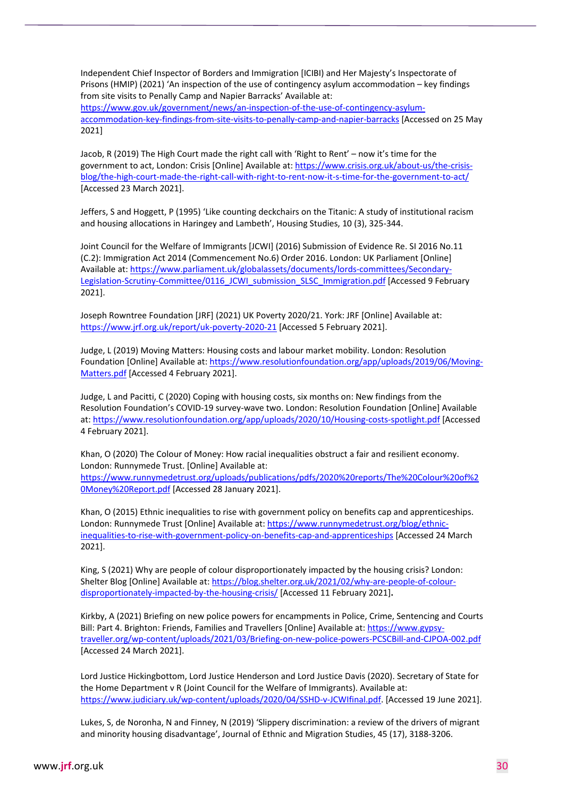Independent Chief Inspector of Borders and Immigration [ICIBI) and Her Majesty's Inspectorate of Prisons (HMIP) (2021) 'An inspection of the use of contingency asylum accommodation – key findings from site visits to Penally Camp and Napier Barracks' Available at: [https://www.gov.uk/government/news/an-inspection-of-the-use-of-contingency-asylum](https://www.gov.uk/government/news/an-inspection-of-the-use-of-contingency-asylum-accommodation-key-findings-from-site-visits-to-penally-camp-and-napier-barracks)[accommodation-key-findings-from-site-visits-to-penally-camp-and-napier-barracks](https://www.gov.uk/government/news/an-inspection-of-the-use-of-contingency-asylum-accommodation-key-findings-from-site-visits-to-penally-camp-and-napier-barracks) [Accessed on 25 May 2021]

Jacob, R (2019) The High Court made the right call with 'Right to Rent' – now it's time for the government to act, London: Crisis [Online] Available at[: https://www.crisis.org.uk/about-us/the-crisis](https://www.crisis.org.uk/about-us/the-crisis-blog/the-high-court-made-the-right-call-with-right-to-rent-now-it-s-time-for-the-government-to-act/)[blog/the-high-court-made-the-right-call-with-right-to-rent-now-it-s-time-for-the-government-to-act/](https://www.crisis.org.uk/about-us/the-crisis-blog/the-high-court-made-the-right-call-with-right-to-rent-now-it-s-time-for-the-government-to-act/) [Accessed 23 March 2021].

Jeffers, S and Hoggett, P (1995) 'Like counting deckchairs on the Titanic: A study of institutional racism and housing allocations in Haringey and Lambeth', Housing Studies, 10 (3), 325-344.

Joint Council for the Welfare of Immigrants [JCWI] (2016) Submission of Evidence Re. SI 2016 No.11 (C.2): Immigration Act 2014 (Commencement No.6) Order 2016. London: UK Parliament [Online] Available at[: https://www.parliament.uk/globalassets/documents/lords-committees/Secondary-](https://www.parliament.uk/globalassets/documents/lords-committees/Secondary-Legislation-Scrutiny-Committee/0116_JCWI_submission_SLSC_Immigration.pdf)[Legislation-Scrutiny-Committee/0116\\_JCWI\\_submission\\_SLSC\\_Immigration.pdf](https://www.parliament.uk/globalassets/documents/lords-committees/Secondary-Legislation-Scrutiny-Committee/0116_JCWI_submission_SLSC_Immigration.pdf) [Accessed 9 February 2021].

Joseph Rowntree Foundation [JRF] (2021) UK Poverty 2020/21. York: JRF [Online] Available at: <https://www.jrf.org.uk/report/uk-poverty-2020-21> [Accessed 5 February 2021].

Judge, L (2019) Moving Matters: Housing costs and labour market mobility. London: Resolution Foundation [Online] Available at[: https://www.resolutionfoundation.org/app/uploads/2019/06/Moving-](https://www.resolutionfoundation.org/app/uploads/2019/06/Moving-Matters.pdf)[Matters.pdf](https://www.resolutionfoundation.org/app/uploads/2019/06/Moving-Matters.pdf) [Accessed 4 February 2021].

Judge, L and Pacitti, C (2020) Coping with housing costs, six months on: New findings from the Resolution Foundation's COVID-19 survey-wave two. London: Resolution Foundation [Online] Available at:<https://www.resolutionfoundation.org/app/uploads/2020/10/Housing-costs-spotlight.pdf> [Accessed 4 February 2021].

Khan, O (2020) The Colour of Money: How racial inequalities obstruct a fair and resilient economy. London: Runnymede Trust. [Online] Available at: [https://www.runnymedetrust.org/uploads/publications/pdfs/2020%20reports/The%20Colour%20of%2](https://www.runnymedetrust.org/uploads/publications/pdfs/2020%20reports/The%20Colour%20of%20Money%20Report.pdf) [0Money%20Report.pdf](https://www.runnymedetrust.org/uploads/publications/pdfs/2020%20reports/The%20Colour%20of%20Money%20Report.pdf) [Accessed 28 January 2021].

Khan, O (2015) Ethnic inequalities to rise with government policy on benefits cap and apprenticeships. London: Runnymede Trust [Online] Available at[: https://www.runnymedetrust.org/blog/ethnic](https://www.runnymedetrust.org/blog/ethnic-inequalities-to-rise-with-government-policy-on-benefits-cap-and-apprenticeships)[inequalities-to-rise-with-government-policy-on-benefits-cap-and-apprenticeships](https://www.runnymedetrust.org/blog/ethnic-inequalities-to-rise-with-government-policy-on-benefits-cap-and-apprenticeships) [Accessed 24 March 2021].

King, S (2021) Why are people of colour disproportionately impacted by the housing crisis? London: Shelter Blog [Online] Available at[: https://blog.shelter.org.uk/2021/02/why-are-people-of-colour](https://blog.shelter.org.uk/2021/02/why-are-people-of-colour-disproportionately-impacted-by-the-housing-crisis/)[disproportionately-impacted-by-the-housing-crisis/](https://blog.shelter.org.uk/2021/02/why-are-people-of-colour-disproportionately-impacted-by-the-housing-crisis/) [Accessed 11 February 2021]**.**

Kirkby, A (2021) Briefing on new police powers for encampments in Police, Crime, Sentencing and Courts Bill: Part 4. Brighton: Friends, Families and Travellers [Online] Available at: [https://www.gypsy](https://www.gypsy-traveller.org/wp-content/uploads/2021/03/Briefing-on-new-police-powers-PCSCBill-and-CJPOA-002.pdf)[traveller.org/wp-content/uploads/2021/03/Briefing-on-new-police-powers-PCSCBill-and-CJPOA-002.pdf](https://www.gypsy-traveller.org/wp-content/uploads/2021/03/Briefing-on-new-police-powers-PCSCBill-and-CJPOA-002.pdf) [Accessed 24 March 2021].

Lord Justice Hickingbottom, Lord Justice Henderson and Lord Justice Davis (2020). Secretary of State for the Home Department v R (Joint Council for the Welfare of Immigrants). Available at: [https://www.judiciary.uk/wp-content/uploads/2020/04/SSHD-v-JCWIfinal.pdf.](https://www.judiciary.uk/wp-content/uploads/2020/04/SSHD-v-JCWIfinal.pdf) [Accessed 19 June 2021].

Lukes, S, de Noronha, N and Finney, N (2019) 'Slippery discrimination: a review of the drivers of migrant and minority housing disadvantage', Journal of Ethnic and Migration Studies, 45 (17), 3188-3206.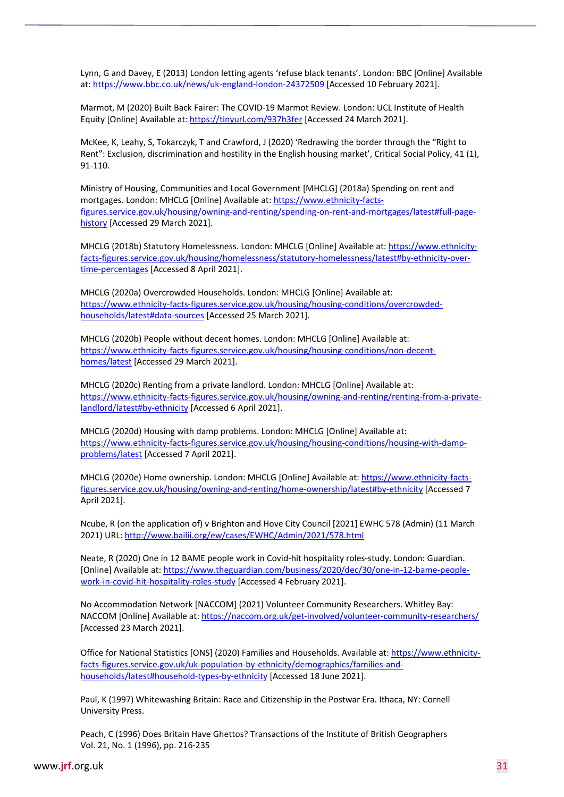Lynn, G and Davey, E (2013) London letting agents 'refuse black tenants'. London: BBC [Online] Available at:<https://www.bbc.co.uk/news/uk-england-london-24372509> [Accessed 10 February 2021].

Marmot, M (2020) Built Back Fairer: The COVID-19 Marmot Review. London: UCL Institute of Health Equity [Online] Available at[: https://tinyurl.com/937h3fer](https://tinyurl.com/937h3fer) [Accessed 24 March 2021].

McKee, K, Leahy, S, Tokarczyk, T and Crawford, J (2020) 'Redrawing the border through the "Right to Rent": Exclusion, discrimination and hostility in the English housing market', Critical Social Policy, 41 (1), 91-110.

Ministry of Housing, Communities and Local Government [MHCLG] (2018a) Spending on rent and mortgages. London: MHCLG [Online] Available at: [https://www.ethnicity-facts](https://www.ethnicity-facts-figures.service.gov.uk/housing/owning-and-renting/spending-on-rent-and-mortgages/latest#full-page-history)[figures.service.gov.uk/housing/owning-and-renting/spending-on-rent-and-mortgages/latest#full-page](https://www.ethnicity-facts-figures.service.gov.uk/housing/owning-and-renting/spending-on-rent-and-mortgages/latest#full-page-history)[history](https://www.ethnicity-facts-figures.service.gov.uk/housing/owning-and-renting/spending-on-rent-and-mortgages/latest#full-page-history) [Accessed 29 March 2021].

MHCLG (2018b) Statutory Homelessness. London: MHCLG [Online] Available at: [https://www.ethnicity](https://www.ethnicity-facts-figures.service.gov.uk/housing/homelessness/statutory-homelessness/latest#by-ethnicity-over-time-percentages)[facts-figures.service.gov.uk/housing/homelessness/statutory-homelessness/latest#by-ethnicity-over](https://www.ethnicity-facts-figures.service.gov.uk/housing/homelessness/statutory-homelessness/latest#by-ethnicity-over-time-percentages)[time-percentages](https://www.ethnicity-facts-figures.service.gov.uk/housing/homelessness/statutory-homelessness/latest#by-ethnicity-over-time-percentages) [Accessed 8 April 2021].

MHCLG (2020a) Overcrowded Households. London: MHCLG [Online] Available at: [https://www.ethnicity-facts-figures.service.gov.uk/housing/housing-conditions/overcrowded](https://www.ethnicity-facts-figures.service.gov.uk/housing/housing-conditions/overcrowded-households/latest#data-sources)[households/latest#data-sources](https://www.ethnicity-facts-figures.service.gov.uk/housing/housing-conditions/overcrowded-households/latest#data-sources) [Accessed 25 March 2021].

MHCLG (2020b) People without decent homes. London: MHCLG [Online] Available at: [https://www.ethnicity-facts-figures.service.gov.uk/housing/housing-conditions/non-decent](https://www.ethnicity-facts-figures.service.gov.uk/housing/housing-conditions/non-decent-homes/latest)[homes/latest](https://www.ethnicity-facts-figures.service.gov.uk/housing/housing-conditions/non-decent-homes/latest) [Accessed 29 March 2021].

MHCLG (2020c) Renting from a private landlord. London: MHCLG [Online] Available at: [https://www.ethnicity-facts-figures.service.gov.uk/housing/owning-and-renting/renting-from-a-private](https://www.ethnicity-facts-figures.service.gov.uk/housing/owning-and-renting/renting-from-a-private-landlord/latest#by-ethnicity)[landlord/latest#by-ethnicity](https://www.ethnicity-facts-figures.service.gov.uk/housing/owning-and-renting/renting-from-a-private-landlord/latest#by-ethnicity) [Accessed 6 April 2021].

MHCLG (2020d) Housing with damp problems. London: MHCLG [Online] Available at: [https://www.ethnicity-facts-figures.service.gov.uk/housing/housing-conditions/housing-with-damp](https://www.ethnicity-facts-figures.service.gov.uk/housing/housing-conditions/housing-with-damp-problems/latest)[problems/latest](https://www.ethnicity-facts-figures.service.gov.uk/housing/housing-conditions/housing-with-damp-problems/latest) [Accessed 7 April 2021].

MHCLG (2020e) Home ownership. London: MHCLG [Online] Available at[: https://www.ethnicity-facts](https://www.ethnicity-facts-figures.service.gov.uk/housing/owning-and-renting/home-ownership/latest#by-ethnicity)[figures.service.gov.uk/housing/owning-and-renting/home-ownership/latest#by-ethnicity](https://www.ethnicity-facts-figures.service.gov.uk/housing/owning-and-renting/home-ownership/latest#by-ethnicity) [Accessed 7 April 2021].

Ncube, R (on the application of) v Brighton and Hove City Council [2021] EWHC 578 (Admin) (11 March 2021) URL[: http://www.bailii.org/ew/cases/EWHC/Admin/2021/578.html](http://www.bailii.org/ew/cases/EWHC/Admin/2021/578.html)

Neate, R (2020) One in 12 BAME people work in Covid-hit hospitality roles-study. London: Guardian. [Online] Available at[: https://www.theguardian.com/business/2020/dec/30/one-in-12-bame-people](https://www.theguardian.com/business/2020/dec/30/one-in-12-bame-people-work-in-covid-hit-hospitality-roles-study)[work-in-covid-hit-hospitality-roles-study](https://www.theguardian.com/business/2020/dec/30/one-in-12-bame-people-work-in-covid-hit-hospitality-roles-study) [Accessed 4 February 2021].

No Accommodation Network [NACCOM] (2021) Volunteer Community Researchers. Whitley Bay: NACCOM [Online] Available at:<https://naccom.org.uk/get-involved/volunteer-community-researchers/> [Accessed 23 March 2021].

Office for National Statistics [ONS] (2020) Families and Households. Available at: [https://www.ethnicity](https://www.ethnicity-facts-figures.service.gov.uk/uk-population-by-ethnicity/demographics/families-and-households/latest#household-types-by-ethnicity)[facts-figures.service.gov.uk/uk-population-by-ethnicity/demographics/families-and](https://www.ethnicity-facts-figures.service.gov.uk/uk-population-by-ethnicity/demographics/families-and-households/latest#household-types-by-ethnicity)[households/latest#household-types-by-ethnicity](https://www.ethnicity-facts-figures.service.gov.uk/uk-population-by-ethnicity/demographics/families-and-households/latest#household-types-by-ethnicity) [Accessed 18 June 2021].

Paul, K (1997) Whitewashing Britain: Race and Citizenship in the Postwar Era. Ithaca, NY: Cornell University Press.

Peach, C (1996) Does Britain Have Ghettos? Transactions of the Institute of British Geographers Vol. 21, No. 1 (1996), pp. 216-235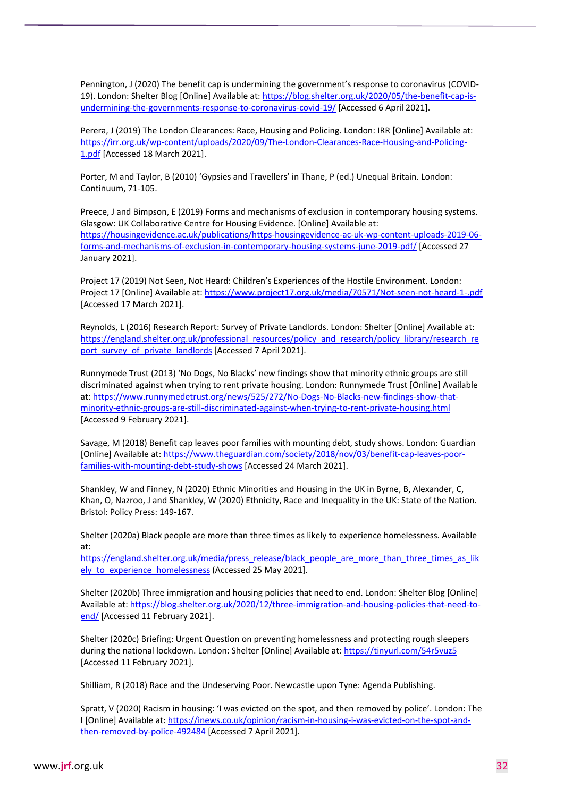Pennington, J (2020) The benefit cap is undermining the government's response to coronavirus (COVID-19). London: Shelter Blog [Online] Available at: [https://blog.shelter.org.uk/2020/05/the-benefit-cap-is](https://blog.shelter.org.uk/2020/05/the-benefit-cap-is-undermining-the-governments-response-to-coronavirus-covid-19/)[undermining-the-governments-response-to-coronavirus-covid-19/](https://blog.shelter.org.uk/2020/05/the-benefit-cap-is-undermining-the-governments-response-to-coronavirus-covid-19/) [Accessed 6 April 2021].

Perera, J (2019) The London Clearances: Race, Housing and Policing. London: IRR [Online] Available at: [https://irr.org.uk/wp-content/uploads/2020/09/The-London-Clearances-Race-Housing-and-Policing-](https://irr.org.uk/wp-content/uploads/2020/09/The-London-Clearances-Race-Housing-and-Policing-1.pdf)[1.pdf](https://irr.org.uk/wp-content/uploads/2020/09/The-London-Clearances-Race-Housing-and-Policing-1.pdf) [Accessed 18 March 2021].

Porter, M and Taylor, B (2010) 'Gypsies and Travellers' in Thane, P (ed.) Unequal Britain. London: Continuum, 71-105.

Preece, J and Bimpson, E (2019) Forms and mechanisms of exclusion in contemporary housing systems. Glasgow: UK Collaborative Centre for Housing Evidence. [Online] Available at: [https://housingevidence.ac.uk/publications/https-housingevidence-ac-uk-wp-content-uploads-2019-06](https://housingevidence.ac.uk/publications/https-housingevidence-ac-uk-wp-content-uploads-2019-06-forms-and-mechanisms-of-exclusion-in-contemporary-housing-systems-june-2019-pdf/) [forms-and-mechanisms-of-exclusion-in-contemporary-housing-systems-june-2019-pdf/](https://housingevidence.ac.uk/publications/https-housingevidence-ac-uk-wp-content-uploads-2019-06-forms-and-mechanisms-of-exclusion-in-contemporary-housing-systems-june-2019-pdf/) [Accessed 27 January 2021].

Project 17 (2019) Not Seen, Not Heard: Children's Experiences of the Hostile Environment. London: Project 17 [Online] Available at:<https://www.project17.org.uk/media/70571/Not-seen-not-heard-1-.pdf> [Accessed 17 March 2021].

Reynolds, L (2016) Research Report: Survey of Private Landlords. London: Shelter [Online] Available at: [https://england.shelter.org.uk/professional\\_resources/policy\\_and\\_research/policy\\_library/research\\_re](https://england.shelter.org.uk/professional_resources/policy_and_research/policy_library/research_report_survey_of_private_landlords) [port\\_survey\\_of\\_private\\_landlords](https://england.shelter.org.uk/professional_resources/policy_and_research/policy_library/research_report_survey_of_private_landlords) [Accessed 7 April 2021].

Runnymede Trust (2013) 'No Dogs, No Blacks' new findings show that minority ethnic groups are still discriminated against when trying to rent private housing. London: Runnymede Trust [Online] Available at: [https://www.runnymedetrust.org/news/525/272/No-Dogs-No-Blacks-new-findings-show-that](https://www.runnymedetrust.org/news/525/272/No-Dogs-No-Blacks-new-findings-show-that-minority-ethnic-groups-are-still-discriminated-against-when-trying-to-rent-private-housing.html)[minority-ethnic-groups-are-still-discriminated-against-when-trying-to-rent-private-housing.html](https://www.runnymedetrust.org/news/525/272/No-Dogs-No-Blacks-new-findings-show-that-minority-ethnic-groups-are-still-discriminated-against-when-trying-to-rent-private-housing.html) [Accessed 9 February 2021].

Savage, M (2018) Benefit cap leaves poor families with mounting debt, study shows. London: Guardian [Online] Available at[: https://www.theguardian.com/society/2018/nov/03/benefit-cap-leaves-poor](https://www.theguardian.com/society/2018/nov/03/benefit-cap-leaves-poor-families-with-mounting-debt-study-shows)[families-with-mounting-debt-study-shows](https://www.theguardian.com/society/2018/nov/03/benefit-cap-leaves-poor-families-with-mounting-debt-study-shows) [Accessed 24 March 2021].

Shankley, W and Finney, N (2020) Ethnic Minorities and Housing in the UK in Byrne, B, Alexander, C, Khan, O, Nazroo, J and Shankley, W (2020) Ethnicity, Race and Inequality in the UK: State of the Nation. Bristol: Policy Press: 149-167.

Shelter (2020a) Black people are more than three times as likely to experience homelessness. Available at:

[https://england.shelter.org.uk/media/press\\_release/black\\_people\\_are\\_more\\_than\\_three\\_times\\_as\\_lik](https://england.shelter.org.uk/media/press_release/black_people_are_more_than_three_times_as_likely_to_experience_homelessness) ely to experience homelessness (Accessed 25 May 2021].

Shelter (2020b) Three immigration and housing policies that need to end. London: Shelter Blog [Online] Available at[: https://blog.shelter.org.uk/2020/12/three-immigration-and-housing-policies-that-need-to](https://blog.shelter.org.uk/2020/12/three-immigration-and-housing-policies-that-need-to-end/)[end/](https://blog.shelter.org.uk/2020/12/three-immigration-and-housing-policies-that-need-to-end/) [Accessed 11 February 2021].

Shelter (2020c) Briefing: Urgent Question on preventing homelessness and protecting rough sleepers during the national lockdown. London: Shelter [Online] Available at:<https://tinyurl.com/54r5vuz5> [Accessed 11 February 2021].

Shilliam, R (2018) Race and the Undeserving Poor. Newcastle upon Tyne: Agenda Publishing.

Spratt, V (2020) Racism in housing: 'I was evicted on the spot, and then removed by police'. London: The I [Online] Available at[: https://inews.co.uk/opinion/racism-in-housing-i-was-evicted-on-the-spot-and](https://inews.co.uk/opinion/racism-in-housing-i-was-evicted-on-the-spot-and-then-removed-by-police-492484)[then-removed-by-police-492484](https://inews.co.uk/opinion/racism-in-housing-i-was-evicted-on-the-spot-and-then-removed-by-police-492484) [Accessed 7 April 2021].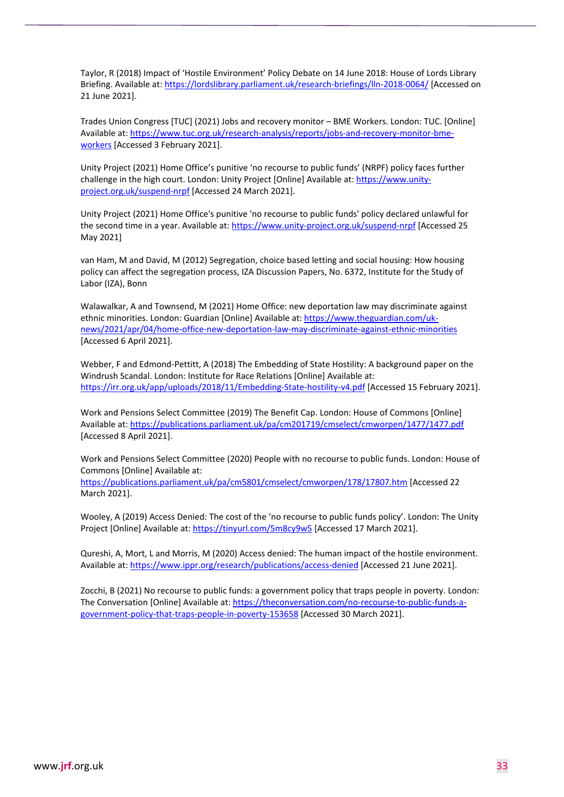Taylor, R (2018) Impact of 'Hostile Environment' Policy Debate on 14 June 2018: House of Lords Library Briefing. Available at[: https://lordslibrary.parliament.uk/research-briefings/lln-2018-0064/](https://lordslibrary.parliament.uk/research-briefings/lln-2018-0064/) [Accessed on 21 June 2021].

Trades Union Congress [TUC] (2021) Jobs and recovery monitor – BME Workers. London: TUC. [Online] Available at[: https://www.tuc.org.uk/research-analysis/reports/jobs-and-recovery-monitor-bme](https://www.tuc.org.uk/research-analysis/reports/jobs-and-recovery-monitor-bme-workers)[workers](https://www.tuc.org.uk/research-analysis/reports/jobs-and-recovery-monitor-bme-workers) [Accessed 3 February 2021].

Unity Project (2021) Home Office's punitive 'no recourse to public funds' (NRPF) policy faces further challenge in the high court. London: Unity Project [Online] Available at: [https://www.unity](https://www.unity-project.org.uk/suspend-nrpf)[project.org.uk/suspend-nrpf](https://www.unity-project.org.uk/suspend-nrpf) [Accessed 24 March 2021].

Unity Project (2021) Home Office's punitive 'no recourse to public funds' policy declared unlawful for the second time in a year. Available at[: https://www.unity-project.org.uk/suspend-nrpf](https://www.unity-project.org.uk/suspend-nrpf) [Accessed 25 May 2021]

van Ham, M and David, M (2012) Segregation, choice based letting and social housing: How housing policy can affect the segregation process, IZA Discussion Papers, No. 6372, Institute for the Study of Labor (IZA), Bonn

Walawalkar, A and Townsend, M (2021) Home Office: new deportation law may discriminate against ethnic minorities. London: Guardian [Online] Available at: [https://www.theguardian.com/uk](https://www.theguardian.com/uk-news/2021/apr/04/home-office-new-deportation-law-may-discriminate-against-ethnic-minorities)[news/2021/apr/04/home-office-new-deportation-law-may-discriminate-against-ethnic-minorities](https://www.theguardian.com/uk-news/2021/apr/04/home-office-new-deportation-law-may-discriminate-against-ethnic-minorities) [Accessed 6 April 2021].

Webber, F and Edmond-Pettitt, A (2018) The Embedding of State Hostility: A background paper on the Windrush Scandal. London: Institute for Race Relations [Online] Available at: <https://irr.org.uk/app/uploads/2018/11/Embedding-State-hostility-v4.pdf> [Accessed 15 February 2021].

Work and Pensions Select Committee (2019) The Benefit Cap. London: House of Commons [Online] Available at[: https://publications.parliament.uk/pa/cm201719/cmselect/cmworpen/1477/1477.pdf](https://publications.parliament.uk/pa/cm201719/cmselect/cmworpen/1477/1477.pdf) [Accessed 8 April 2021].

Work and Pensions Select Committee (2020) People with no recourse to public funds. London: House of Commons [Online] Available at:

<https://publications.parliament.uk/pa/cm5801/cmselect/cmworpen/178/17807.htm> [Accessed 22 March 2021].

Wooley, A (2019) Access Denied: The cost of the 'no recourse to public funds policy'. London: The Unity Project [Online] Available at[: https://tinyurl.com/5m8cy9w5](https://tinyurl.com/5m8cy9w5) [Accessed 17 March 2021].

Qureshi, A, Mort, L and Morris, M (2020) Access denied: The human impact of the hostile environment. Available at[: https://www.ippr.org/research/publications/access-denied](https://www.ippr.org/research/publications/access-denied) [Accessed 21 June 2021].

Zocchi, B (2021) No recourse to public funds: a government policy that traps people in poverty. London: The Conversation [Online] Available at: [https://theconversation.com/no-recourse-to-public-funds-a](https://theconversation.com/no-recourse-to-public-funds-a-government-policy-that-traps-people-in-poverty-153658)[government-policy-that-traps-people-in-poverty-153658](https://theconversation.com/no-recourse-to-public-funds-a-government-policy-that-traps-people-in-poverty-153658) [Accessed 30 March 2021].